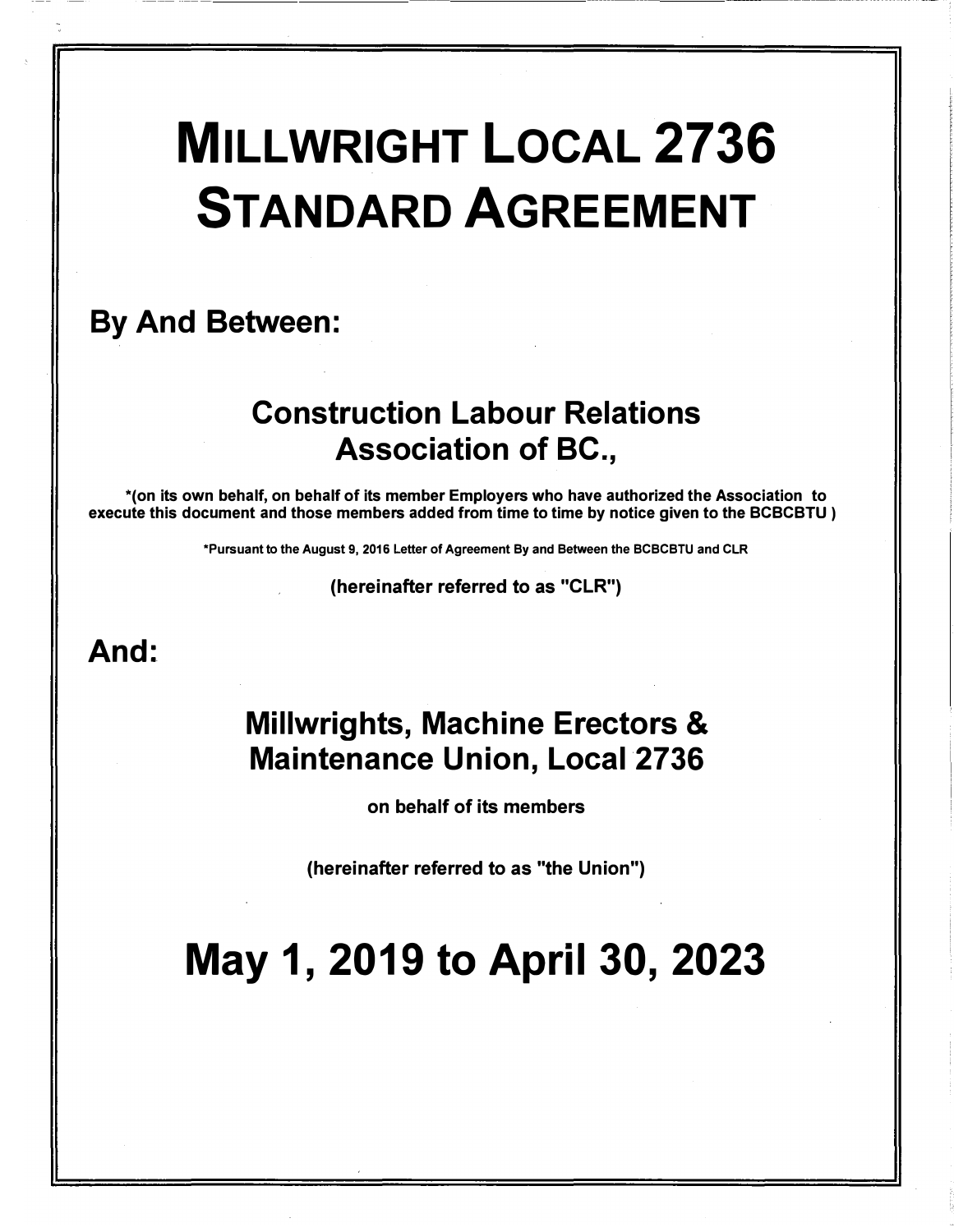# MILLWRIGHT LOCAL 2736 STANDARD AGREEMENT

# By And Between:

# Construction Labour Relations Association of BC.,

\*(on its own behalf, on behalf of its member Employers who have authorized the Association to execute this document and those members added from time to time by notice given to the BCBCBTU )

\*Pursuant to the August 9, 2016 Letter of Agreement By and Between the BCBCBTU and CLR

(hereinafter referred to as "CLR")

# And:

# Millwrights, Machine Erectors & Maintenance Union, Local 2736

on behalf of its members

(hereinafter referred to as "the Union")

# May 1, 2019 to April 30, 2023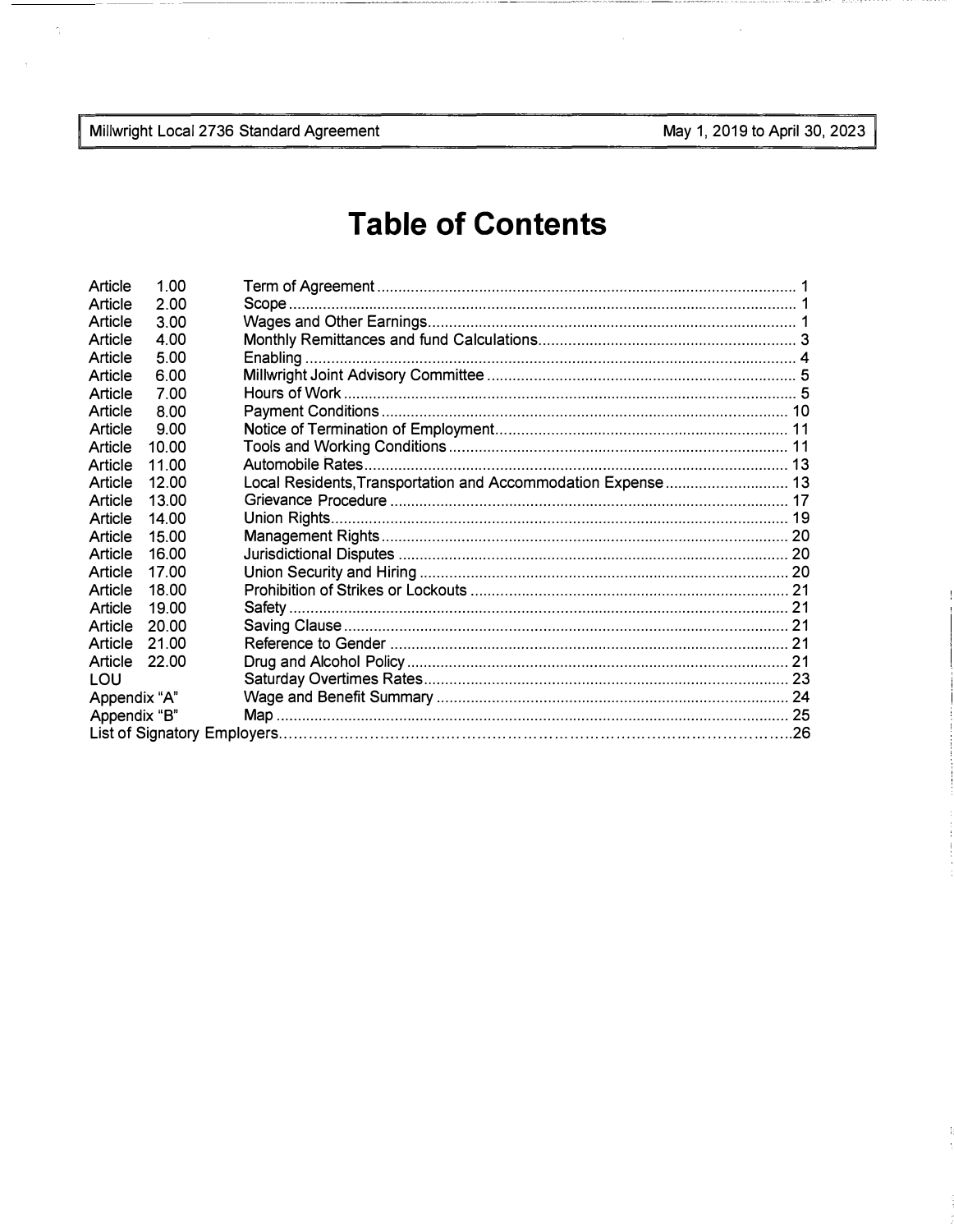Millwright Local 2736 Standard Agreement

 $\hat{\gamma}$ 

÷,

May 1, 2019 to April 30, 2023

# **Table of Contents**

| 100   |                              |                                                              |
|-------|------------------------------|--------------------------------------------------------------|
| 2.00  |                              |                                                              |
| 3.00  |                              |                                                              |
| 4.00  |                              |                                                              |
| 5.00  |                              |                                                              |
| 6.00  |                              |                                                              |
| 7.00  |                              |                                                              |
| 8.00  |                              |                                                              |
| 9.00  |                              |                                                              |
| 10.00 |                              |                                                              |
| 11.00 |                              |                                                              |
| 1200  |                              |                                                              |
| 13.00 |                              |                                                              |
| 14.00 |                              |                                                              |
| 15.00 |                              |                                                              |
| 16.00 |                              |                                                              |
| 17.00 |                              |                                                              |
| 18.00 |                              |                                                              |
| 1900  |                              |                                                              |
| 20.00 |                              |                                                              |
| 21.00 |                              |                                                              |
| 22.00 |                              |                                                              |
|       |                              |                                                              |
|       |                              |                                                              |
|       |                              |                                                              |
|       |                              |                                                              |
|       | Appendix "A"<br>Appendix "B" | Local Residents, Transportation and Accommodation Expense 13 |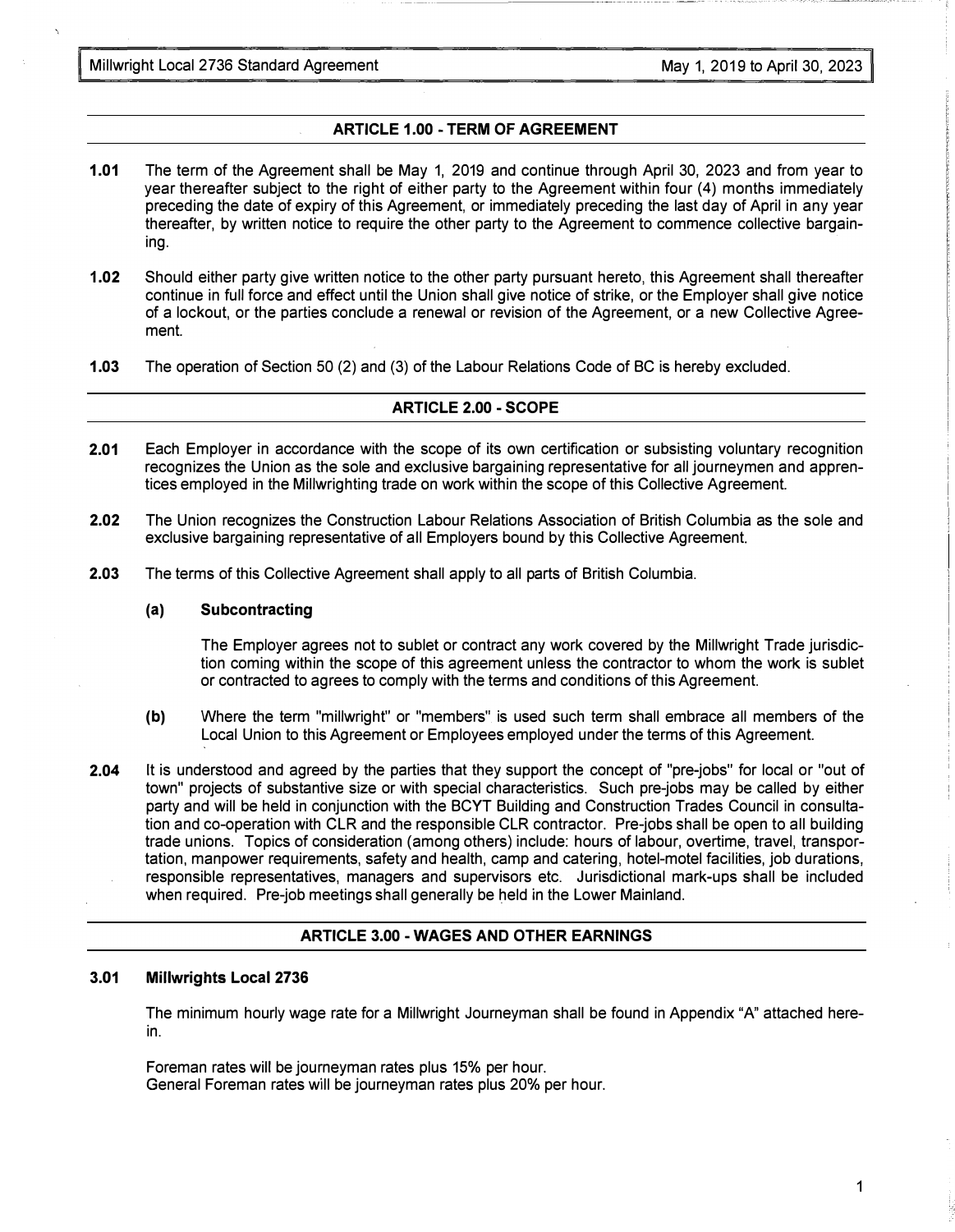Millwright Local 2736 Standard Agreement Millwright Local 2736 Standard Agreement May 1, 2019 to April 30, 2023

### ARTICLE 1.00 - TERM OF AGREEMENT

- 1.01 The term of the Agreement shall be May 1, 2019 and continue through April 30, 2023 and from year to year thereafter subject to the right of either party to the Agreement within four (4) months immediately preceding the date of expiry of this Agreement, or immediately preceding the last day of April in any year thereafter, by written notice to require the other party to the Agreement to commence collective bargaining.
- 1.02 Should either party give written notice to the other party pursuant hereto, this Agreement shall thereafter continue in full force and effect until the Union shall give notice of strike, or the Employer shall give notice of a lockout, or the parties conclude a renewal or revision of the Agreement, or a new Collective Agreement.
- 1.03 The operation of Section 50 (2) and (3) of the Labour Relations Code of BC is hereby excluded.

#### ARTICLE 2.00 - SCOPE

- 2.01 Each Employer in accordance with the scope of its own certification or subsisting voluntary recognition recognizes the Union as the sole and exclusive bargaining representative for all journeymen and apprentices employed in the Millwrighting trade on work within the scope of this Collective Agreement.
- 2.02 The Union recognizes the Construction Labour Relations Association of British Columbia as the sole and exclusive bargaining representative of all Employers bound by this Collective Agreement.
- 2.03 The terms of this Collective Agreement shall apply to all parts of British Columbia.

#### (a) Subcontracting

The Employer agrees not to sublet or contract any work covered by the Millwright Trade jurisdiction coming within the scope of this agreement unless the contractor to whom the work is sublet or contracted to agrees to comply with the terms and conditions of this Agreement.

- (b) Where the term "millwright" or "members" is used such term shall embrace all members of the Local Union to this Agreement or Employees employed under the terms of this Agreement.
- 2.04 It is understood and agreed by the parties that they support the concept of "pre-jobs" for local or "out of town" projects of substantive size or with special characteristics. Such pre-jobs may be called by either party and will be held in conjunction with the BCYT Building and Construction Trades Council in consultation and co-operation with CLR and the responsible CLR contractor. Pre-jobs shall be open to all building trade unions. Topics of consideration (among others) include: hours of labour, overtime, travel, transportation, manpower requirements, safety and health, camp and catering, hotel-motel facilities, job durations, responsible representatives, managers and supervisors etc. Jurisdictional mark-ups shall be included when required. Pre-job meetings shall generally be held in the Lower Mainland.

#### ARTICLE 3.00 - WAGES AND OTHER EARNINGS

#### 3.01 Millwrights Local 2736

The minimum hourly wage rate for a Millwright Journeyman shall be found in Appendix "A" attached herein.

Foreman rates will be journeyman rates plus 15% per hour. General Foreman rates will be journeyman rates plus 20% per hour.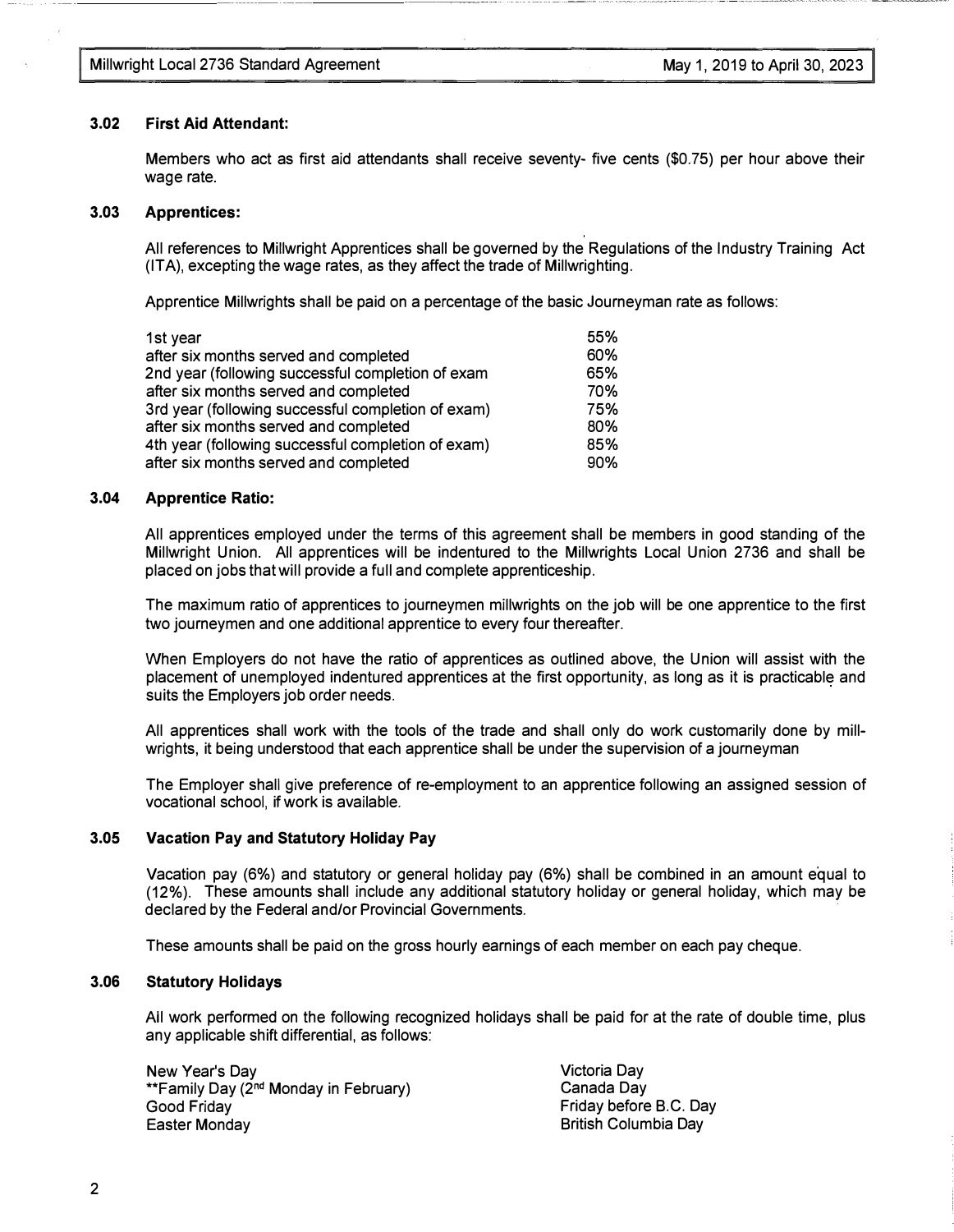#### 3.02 First Aid Attendant:

Members who act as first aid attendants shall receive seventy- five cents (\$0.75) per hour above their wage rate.

#### 3.03 Apprentices:

All references to Millwright Apprentices shall be governed by the Regulations of the Industry Training Act (ITA), excepting the wage rates, as they affect the trade of Millwrighting.

Apprentice Millwrights shall be paid on a percentage of the basic Journeyman rate as follows:

| 1st year                                           | 55% |
|----------------------------------------------------|-----|
| after six months served and completed              | 60% |
| 2nd year (following successful completion of exam  | 65% |
| after six months served and completed              | 70% |
| 3rd year (following successful completion of exam) | 75% |
| after six months served and completed              | 80% |
| 4th year (following successful completion of exam) | 85% |
| after six months served and completed              | 90% |
|                                                    |     |

#### 3.04 Apprentice Ratio:

All apprentices employed under the terms of this agreement shall be members in good standing of the Millwright Union. All apprentices will be indentured to the Millwrights Local Union 2736 and shall be placed on jobs that will provide a full and complete apprenticeship.

The maximum ratio of apprentices to journeymen millwrights on the job will be one apprentice to the first two journeymen and one additional apprentice to every four thereafter.

When Employers do not have the ratio of apprentices as outlined above, the Union will assist with the placement of unemployed indentured apprentices at the first opportunity, as long as it is practicable and suits the Employers job order needs.

All apprentices shall work with the tools of the trade and shall only do work customarily done by millwrights, it being understood that each apprentice shall be under the supervision of a journeyman

The Employer shall give preference of re-employment to an apprentice following an assigned session of vocational school, if work is available.

#### 3.05 Vacation Pay and Statutory Holiday Pay

Vacation pay (6%) and statutory or general holiday pay (6%) shall be combined in an amount equal to (12%). These amounts shall include any additional statutory holiday or general holiday, which may be declared by the Federal and/or Provincial Governments.

These amounts shall be paid on the gross hourly earnings of each member on each pay cheque.

#### 3.06 Statutory Holidays

All work performed on the following recognized holidays shall be paid for at the rate of double time, plus any applicable shift differential, as follows:

New Year's Day \*\*Family Day (2<sup>nd</sup> Monday in February) Good Friday Easter Monday

Victoria Day Canada Day Friday before B.C. Day British Columbia Day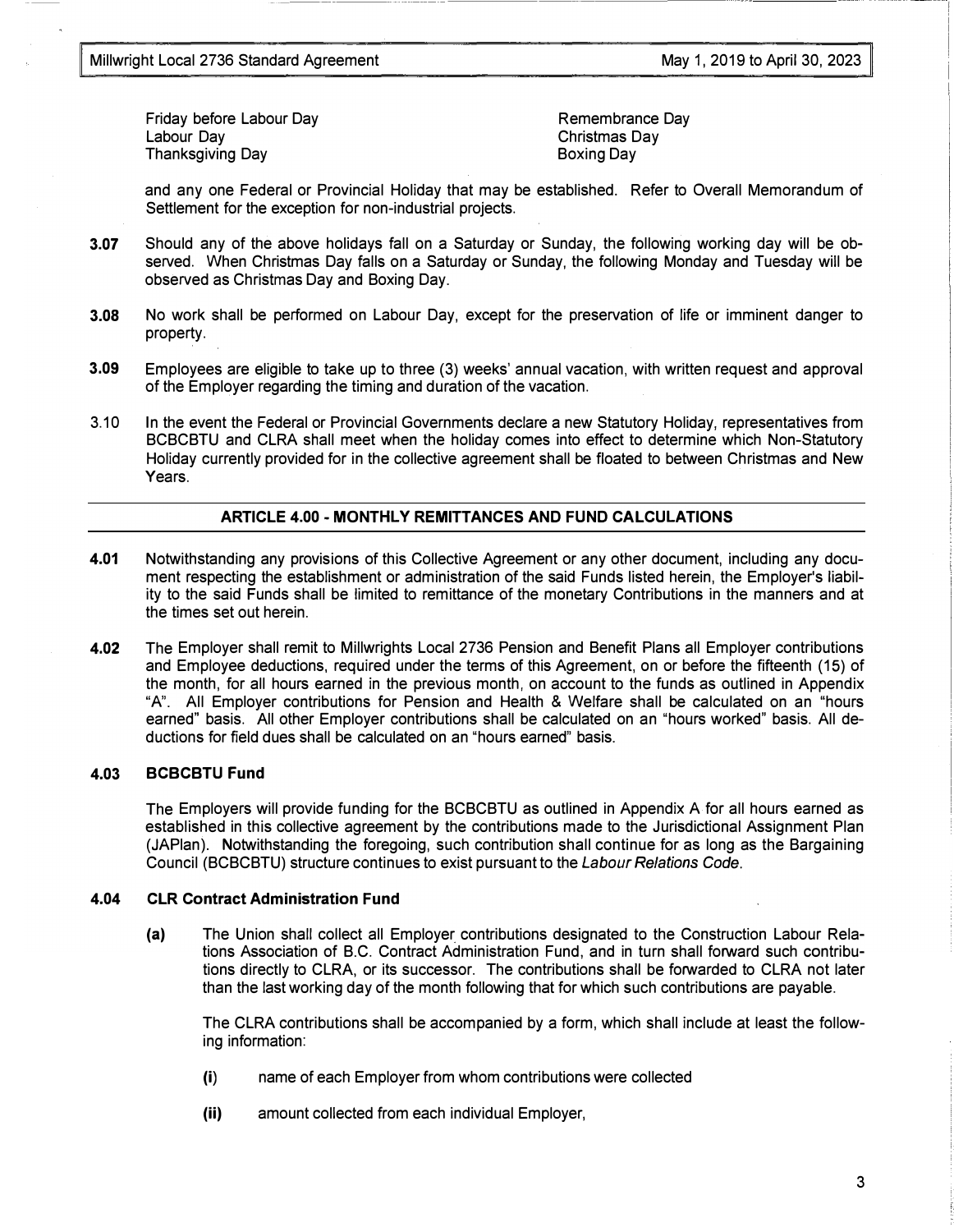----

Friday before Labour Day Labour Day Thanksgiving Day

Remembrance Day Christmas Day Boxing Day

and any one Federal or Provincial Holiday that may be established. Refer to Overall Memorandum of Settlement for the exception for non-industrial projects.

3.07 Should any of the above holidays fall on a Saturday or Sunday, the following working day will be observed. When Christmas Day falls on a Saturday or Sunday, the following Monday and Tuesday will be observed as Christmas Day and Boxing Day.

- --------------

- 3.08 No work shall be performed on Labour Day, except for the preservation of life or imminent danger to property.
- 3.09 Employees are eligible to take up to three (3) weeks' annual vacation, with written request and approval of the Employer regarding the timing and duration of the vacation.
- 3.10 In the event the Federal or Provincial Governments declare a new Statutory Holiday, representatives from BCBCBTU and CLRA shall meet when the holiday comes into effect to determine which Non-Statutory Holiday currently provided for in the collective agreement shall be floated to between Christmas and New Years.

#### ARTICLE 4.00 - MONTHLY REMITTANCES AND FUND CALCULATIONS

- 4.01 Notwithstanding any provisions of this Collective Agreement or any other document, including any document respecting the establishment or administration of the said Funds listed herein, the Employer's liability to the said Funds shall be limited to remittance of the monetary Contributions in the manners and at the times set out herein.
- 4.02 The Employer shall remit to Millwrights Local 2736 Pension and Benefit Plans all Employer contributions and Employee deductions, required under the terms of this Agreement, on or before the fifteenth (15) of the month, for all hours earned in the previous month, on account to the funds as outlined in Appendix "A". All Employer contributions for Pension and Health & Welfare shall be calculated on an "hours earned" basis. All other Employer contributions shall be calculated on an "hours worked" basis. All deductions for field dues shall be calculated on an "hours earned" basis.

#### 4.03 BCBCBTU Fund

The Employers will provide funding for the BCBCBTU as outlined in Appendix A for all hours earned as established in this collective agreement by the contributions made to the Jurisdictional Assignment Plan (JAPlan). Notwithstanding the foregoing, such contribution shall continue for as long as the Bargaining Council (BCBCBTU) structure continues to exist pursuant to the Labour Relations Code.

#### 4.04 CLR Contract Administration Fund

(a) The Union shall collect all Employer contributions designated to the Construction Labour Relations Association of B.C. Contract Administration Fund, and in turn shall forward such contributions directly to CLRA, or its successor. The contributions shall be forwarded to CLRA not later than the last working day of the month following that for which such contributions are payable.

The CLRA contributions shall be accompanied by a form, which shall include at least the following information:

- (i) name of each Employer from whom contributions were collected
- (ii) amount collected from each individual Employer,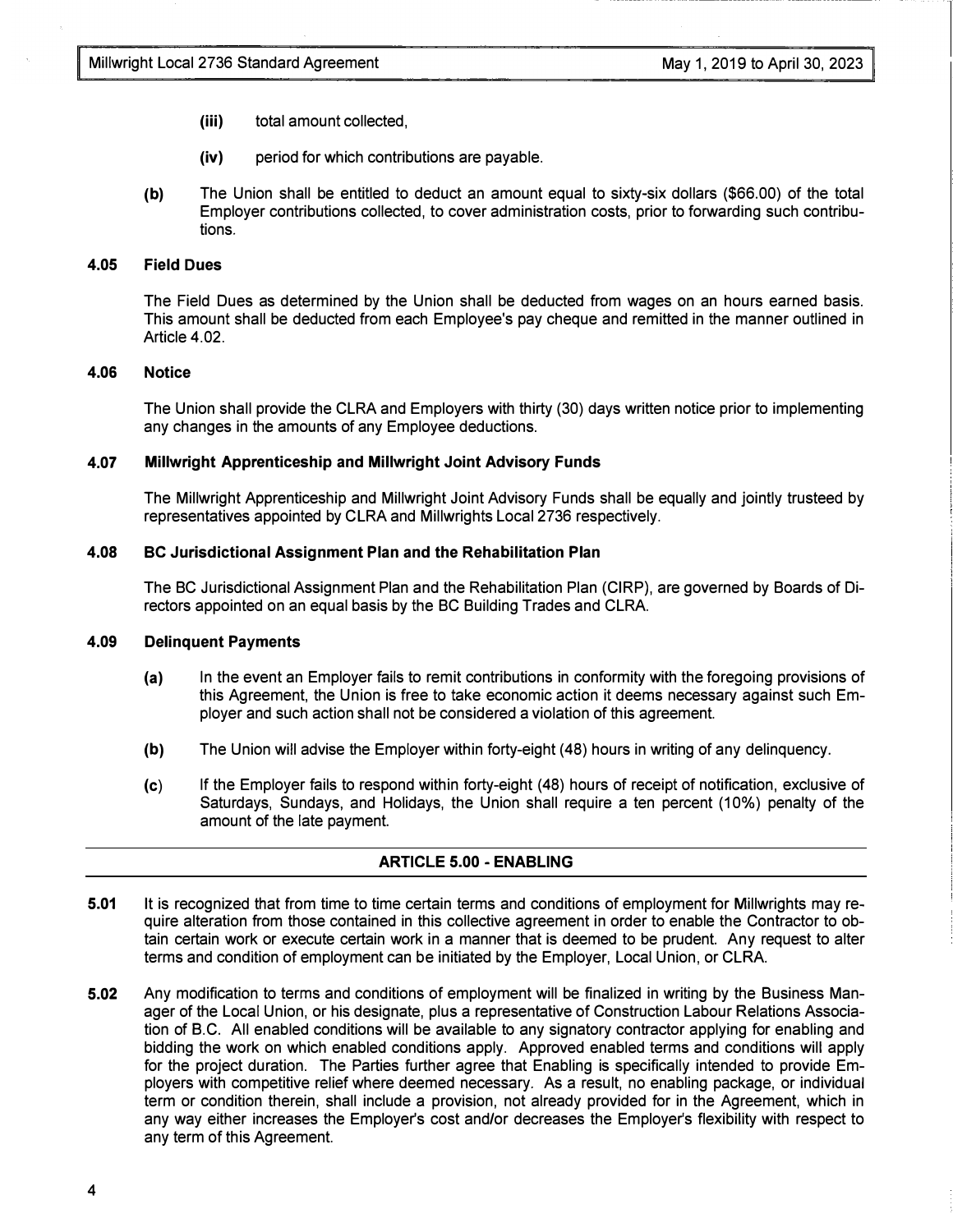- (iii) total amount collected,
- (iv) period for which contributions are payable.
- (b) The Union shall be entitled to deduct an amount equal to sixty-six dollars (\$66.00) of the total Employer contributions collected, to cover administration costs, prior to forwarding such contributions.

#### 4.05 Field Dues

The Field Dues as determined by the Union shall be deducted from wages on an hours earned basis. This amount shall be deducted from each Employee's pay cheque and remitted in the manner outlined in Article 4.02.

#### 4.06 Notice

The Union shall provide the CLRA and Employers with thirty (30) days written notice prior to implementing any changes in the amounts of any Employee deductions.

#### 4.07 Millwright Apprenticeship and Millwright Joint Advisory Funds

The Millwright Apprenticeship and Millwright Joint Advisory Funds shall be equally and jointly trusteed by representatives appointed by CLRA and Millwrights Local 2736 respectively.

#### 4.08 BC Jurisdictional Assignment Plan and the Rehabilitation Plan

The BC Jurisdictional Assignment Plan and the Rehabilitation Plan (CIRP), are governed by Boards of Directors appointed on an equal basis by the BC Building Trades and CLRA.

#### 4.09 Delinquent Payments

- (a) In the event an Employer fails to remit contributions in conformity with the foregoing provisions of this Agreement, the Union is free to take economic action it deems necessary against such Employer and such action shall not be considered a violation of this agreement.
- (b) The Union will advise the Employer within forty-eight (48) hours in writing of any delinquency.
- (c) If the Employer fails to respond within forty-eight (48) hours of receipt of notification, exclusive of Saturdays, Sundays, and Holidays, the Union shall require a ten percent (10%) penalty of the amount of the late payment.

#### ARTICLE 5.00 - ENABLING

- 5.01 It is recognized that from time to time certain terms and conditions of employment for Millwrights may require alteration from those contained in this collective agreement in order to enable the Contractor to obtain certain work or execute certain work in a manner that is deemed to be prudent. Any request to alter terms and condition of employment can be initiated by the Employer, Local Union, or CLRA.
- 5.02 Any modification to terms and conditions of employment will be finalized in writing by the Business Manager of the Local Union, or his designate, plus a representative of Construction Labour Relations Association of 8.C. All enabled conditions will be available to any signatory contractor applying for enabling and bidding the work on which enabled conditions apply. Approved enabled terms and conditions will apply for the project duration. The Parties further agree that Enabling is specifically intended to provide Employers with competitive relief where deemed necessary. As a result, no enabling package, or individual term or condition therein, shall include a provision, not already provided for in the Agreement, which in any way either increases the Employer's cost and/or decreases the Employer's flexibility with respect to any term of this Agreement.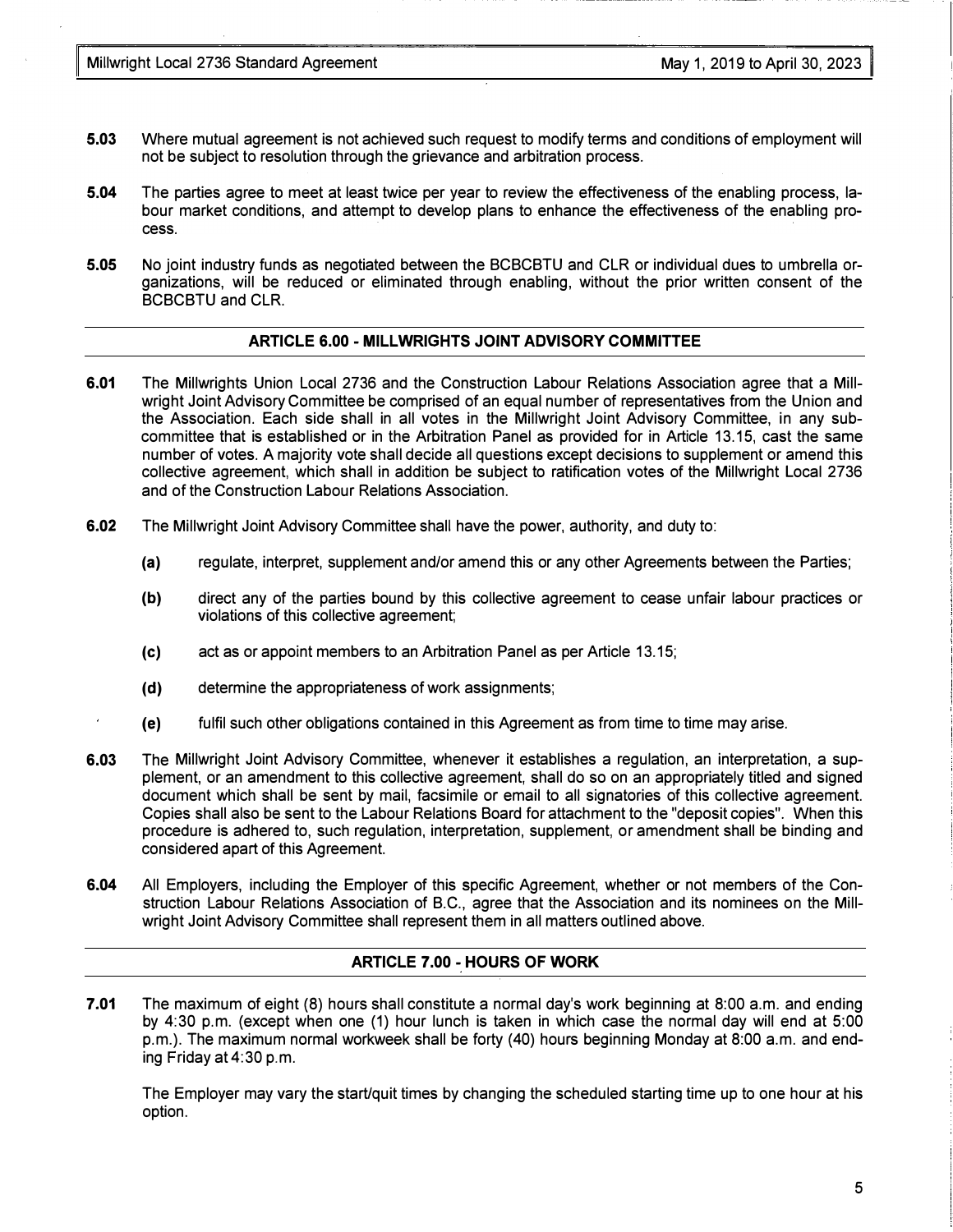- 5.03 Where mutual agreement is not achieved such request to modify terms and conditions of employment will not be subject to resolution through the grievance and arbitration process.
- 5.04 The parties agree to meet at least twice per year to review the effectiveness of the enabling process, labour market conditions, and attempt to develop plans to enhance the effectiveness of the enabling process.
- 5.05 No joint industry funds as negotiated between the BCBCBTU and CLR or individual dues to umbrella organizations, will be reduced or eliminated through enabling, without the prior written consent of the BCBCBTU and CLR.

#### ARTICLE 6.00 - MILLWRIGHTS JOINT ADVISORY COMMITTEE

- 6.01 The Millwrights Union Local 2736 and the Construction Labour Relations Association agree that a Millwright Joint Advisory Committee be comprised of an equal number of representatives from the Union and the Association. Each side shall in all votes in the Millwright Joint Advisory Committee, in any subcommittee that is established or in the Arbitration Panel as provided for in Article 13.15, cast the same number of votes. A majority vote shall decide all questions except decisions to supplement or amend this collective agreement, which shall in addition be subject to ratification votes of the Millwright Local 2736 and of the Construction Labour Relations Association.
- 6.02 The Millwright Joint Advisory Committee shall have the power, authority, and duty to:
	- (a) regulate, interpret, supplement and/or amend this or any other Agreements between the Parties;
	- (b) direct any of the parties bound by this collective agreement to cease unfair labour practices or violations of this collective agreement;
	- (c) act as or appoint members to an Arbitration Panel as per Article 13.15;
	- (d) determine the appropriateness of work assignments;
	- (e) fulfil such other obligations contained in this Agreement as from time to time may arise.
- 6.03 The Millwright Joint Advisory Committee, whenever it establishes a regulation, an interpretation, a supplement, or an amendment to this collective agreement, shall do so on an appropriately titled and signed document which shall be sent by mail, facsimile or email to all signatories of this collective agreement. Copies shall also be sent to the Labour Relations Board for attachment to the "deposit copies". When this procedure is adhered to, such regulation, interpretation, supplement, or amendment shall be binding and considered apart of this Agreement.
- 6.04 All Employers, including the Employer of this specific Agreement, whether or not members of the Construction Labour Relations Association of B.C., agree that the Association and its nominees on the Millwright Joint Advisory Committee shall represent them in all matters outlined above.

#### ARTICLE 7.00 - HOURS OF WORK

7.01 The maximum of eight (8) hours shall constitute a normal day's work beginning at 8:00 a.m. and ending by 4:30 p.m. (except when one (1) hour lunch is taken in which case the normal day will end at 5:00 p.m.). The maximum normal workweek shall be forty (40) hours beginning Monday at 8:00 a.m. and ending Friday at 4:30 p.m.

The Employer may vary the start/quit times by changing the scheduled starting time up to one hour at his option.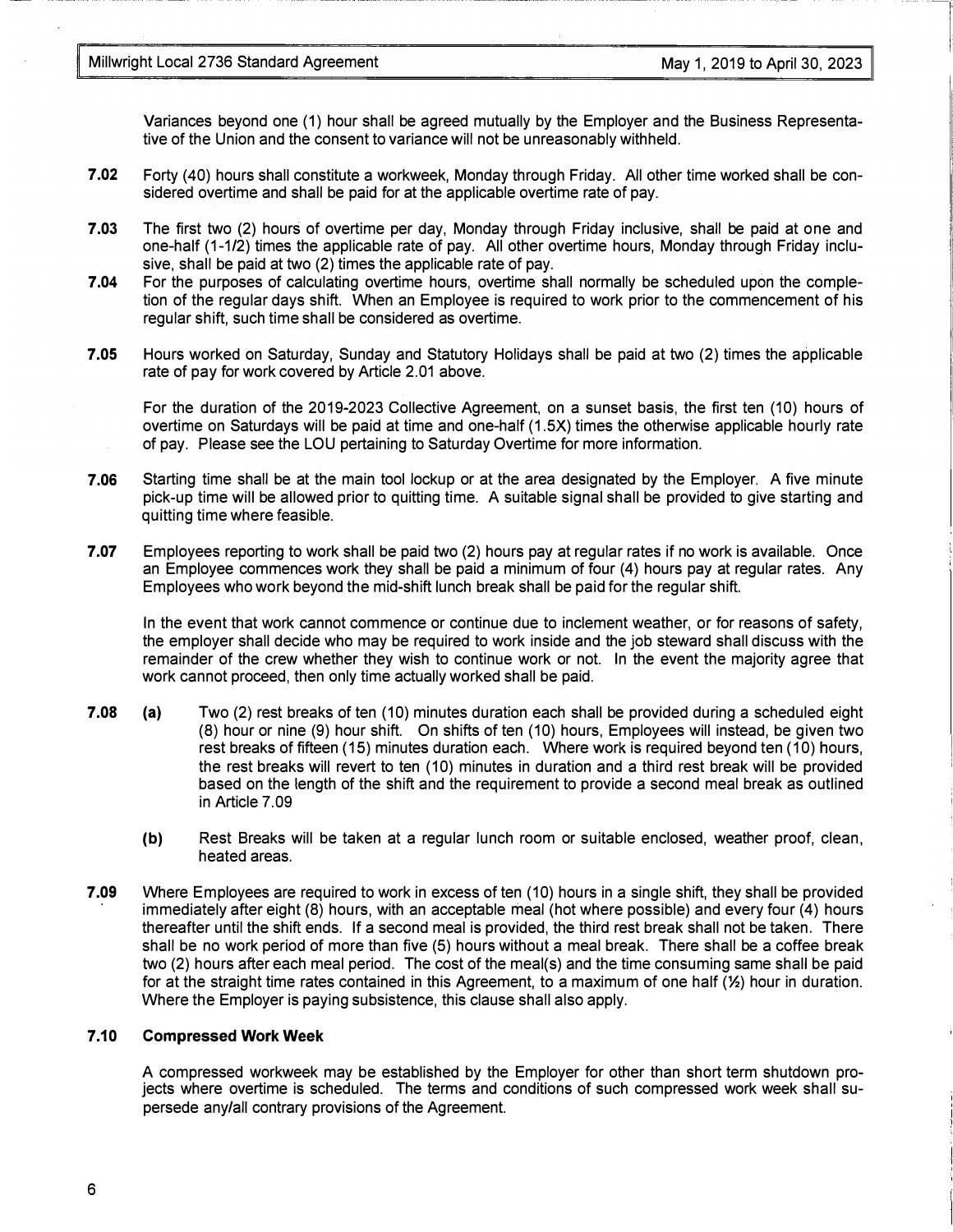Variances beyond one (1) hour shall be agreed mutually by the Employer and the Business Representative of the Union and the consent to variance will not be unreasonably withheld.

- 7.02 Forty (40) hours shall constitute a workweek, Monday through Friday. All other time worked shall be considered overtime and shall be paid for at the applicable overtime rate of pay.
- 7.03 The first two (2) hours of overtime per day, Monday through Friday inclusive, shall be paid at one and one-half (1-1/2) times the applicable rate of pay. All other overtime hours, Monday through Friday inclusive, shall be paid at two (2) times the applicable rate of pay.
- 7.04 For the purposes of calculating overtime hours, overtime shall normally be scheduled upon the completion of the regular days shift. When an Employee is required to work prior to the commencement of his regular shift, such time shall be considered as overtime.
- 7.05 Hours worked on Saturday, Sunday and Statutory Holidays shall be paid at two (2) times the applicable rate of pay for work covered by Article 2.01 above.

For the duration of the 2019-2023 Collective Agreement, on a sunset basis, the first ten (10) hours of overtime on Saturdays will be paid at time and one-half (1.5X) times the otherwise applicable hourly rate of pay. Please see the LOU pertaining to Saturday Overtime for more information.

- 7.06 Starting time shall be at the main tool lockup or at the area designated by the Employer. A five minute pick-up time will be allowed prior to quitting time. A suitable signal shall be provided to give starting and quitting time where feasible.
- 7.07 Employees reporting to work shall be paid two (2) hours pay at regular rates if no work is available. Once an Employee commences work they shall be paid a minimum of four (4) hours pay at regular rates. Any Employees who work beyond the mid-shift lunch break shall be paid for the regular shift.

In the event that work cannot commence or continue due to inclement weather, or for reasons of safety, the employer shall decide who may be required to work inside and the job steward shall discuss with the remainder of the crew whether they wish to continue work or not. In the event the majority agree that work cannot proceed, then only time actually worked shall be paid.

- 7.08 (a) Two (2) rest breaks of ten (10) minutes duration each shall be provided during a scheduled eight (8) hour or nine (9) hour shift. On shifts of ten (10) hours, Employees will instead, be given two rest breaks of fifteen (15) minutes duration each. Where work is required beyond ten (10) hours, the rest breaks will revert to ten (10) minutes in duration and a third rest break will be provided based on the length of the shift and the requirement to provide a second meal break as outlined in Article 7.09
	- (b) Rest Breaks will be taken at a regular lunch room or suitable enclosed, weather proof, clean, heated areas.
- 7.09 Where Employees are required to work in excess of ten (10) hours in a single shift, they shall be provided immediately after eight (8) hours, with an acceptable meal (hot where possible) and every four (4) hours thereafter until the shift ends. If a second meal is provided, the third rest break shall not be taken. There shall be no work period of more than five (5) hours without a meal break. There shall be a coffee break two (2) hours after each meal period. The cost of the meal(s) and the time consuming same shall be paid for at the straight time rates contained in this Agreement, to a maximum of one half (%) hour in duration. Where the Employer is paying subsistence, this clause shall also apply.

#### 7.10 Compressed Work Week

A compressed workweek may be established by the Employer for other than short term shutdown projects where overtime is scheduled. The terms and conditions of such compressed work week shall supersede any/all contrary provisions of the Agreement.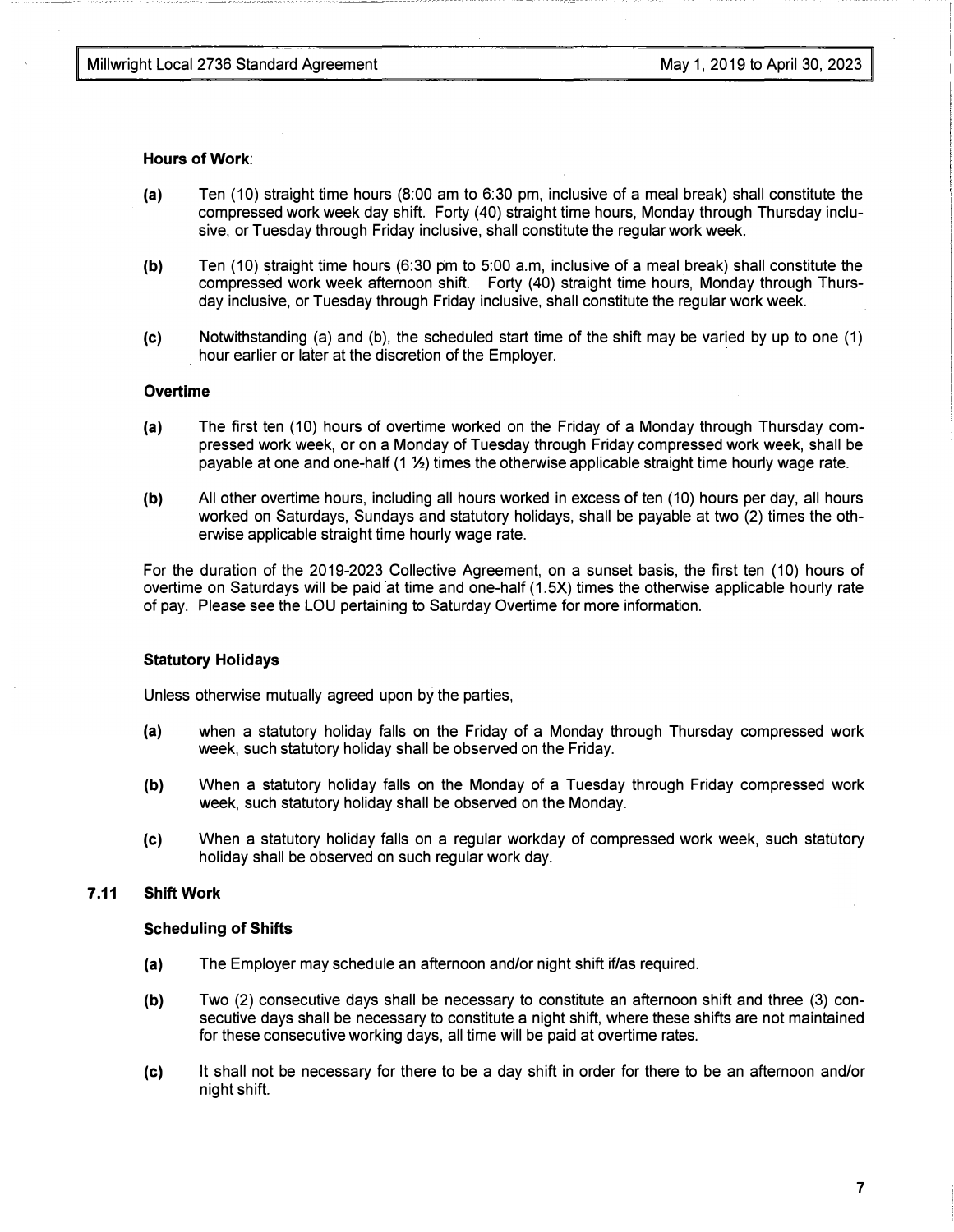#### Hours of Work:

- (a) Ten (10) straight time hours (8:00 am to 6:30 pm, inclusive of a meal break) shall constitute the compressed work week day shift. Forty (40) straight time hours, Monday through Thursday inclusive, or Tuesday through Friday inclusive, shall constitute the regular work week.
- (b) Ten (10) straight time hours (6:30 pm to 5:00 a.m, inclusive of a meal break) shall constitute the compressed work week afternoon shift. Forty (40) straight time hours, Monday through Thursday inclusive, or Tuesday through Friday inclusive, shall constitute the regular work week.
- (c) Notwithstanding (a) and (b), the scheduled start time of the shift may be varied by up to one (1) hour earlier or later at the discretion of the Employer.

#### **Overtime**

- (a) The first ten (10) hours of overtime worked on the Friday of a Monday through Thursday compressed work week, or on a Monday of Tuesday through Friday compressed work week, shall be payable at one and one-half (1 %) times the otherwise applicable straight time hourly wage rate.
- (b) All other overtime hours, including all hours worked in excess of ten (10) hours per day, all hours worked on Saturdays, Sundays and statutory holidays, shall be payable at two (2) times the otherwise applicable straight time hourly wage rate.

For the duration of the 2019-2023 Collective Agreement, on a sunset basis, the first ten (10) hours of overtime on Saturdays will be paid at time and one-half (1.5X) times the otherwise applicable hourly rate of pay. Please see the LOU pertaining to Saturday Overtime for more information.

#### Statutory Holidays

Unless otherwise mutually agreed upon by the parties,

- (a) when a statutory holiday falls on the Friday of a Monday through Thursday compressed work week, such statutory holiday shall be observed on the Friday.
- (b) When a statutory holiday falls on the Monday of a Tuesday through Friday compressed work week, such statutory holiday shall be observed on the Monday.
- (c) When a statutory holiday falls on a regular workday of compressed work week, such statutory holiday shall be observed on such regular work day.

## 7 .11 Shift Work

#### Scheduling of Shifts

- (a) The Employer may schedule an afternoon and/or night shift if/as required.
- (b) Two (2) consecutive days shall be necessary to constitute an afternoon shift and three (3) consecutive days shall be necessary to constitute a night shift, where these shifts are not maintained for these consecutive working days, all time will be paid at overtime rates.
- (c) It shall not be necessary for there to be a day shift in order for there to be an afternoon and/or night shift.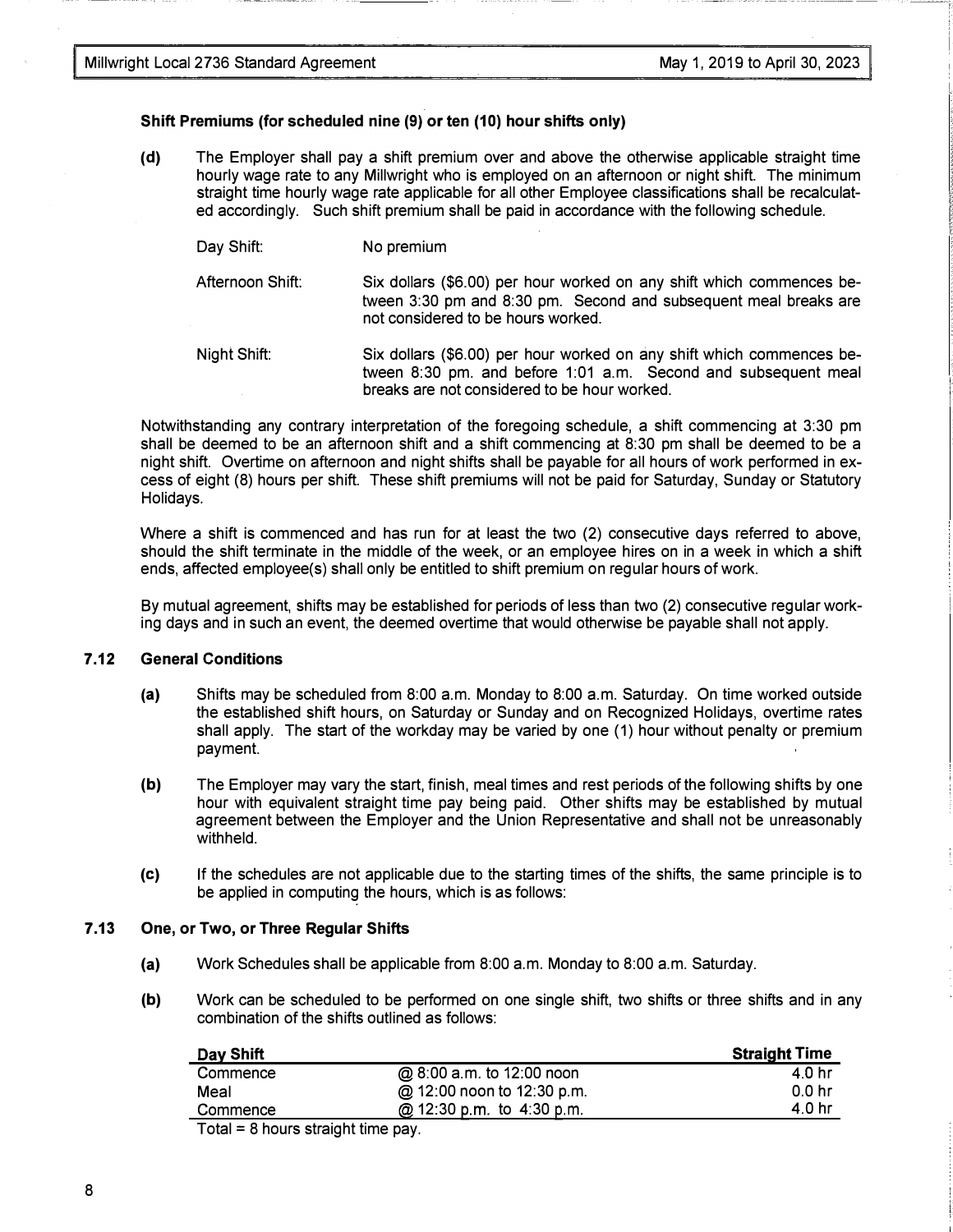#### Shift Premiums (for scheduled nine (9) or ten (10) hour shifts only)

(d) The Employer shall pay a shift premium over and above the otherwise applicable straight time hourly wage rate to any Millwright who is employed on an afternoon or night shift. The minimum straight time hourly wage rate applicable for all other Employee classifications shall be recalculated accordingly. Such shift premium shall be paid in accordance with the following schedule.

#### Day Shift: No premium

Afternoon Shift: Six dollars (\$6.00) per hour worked on any shift which commences between 3:30 pm and 8:30 pm. Second and subsequent meal breaks are not considered to be hours worked.

Night Shift: Six dollars (\$6.00) per hour worked on any shift which commences between 8:30 pm. and before 1:01 a.m. Second and subsequent meal breaks are not considered to be hour worked.

Notwithstanding any contrary interpretation of the foregoing schedule, a shift commencing at 3:30 pm shall be deemed to be an afternoon shift and a shift commencing at 8:30 pm shall be deemed to be a night shift. Overtime on afternoon and night shifts shall be payable for all hours of work performed in excess of eight (8) hours per shift. These shift premiums will not be paid for Saturday, Sunday or Statutory Holidays.

Where a shift is commenced and has run for at least the two (2) consecutive days referred to above, should the shift terminate in the middle of the week, or an employee hires on in a week in which a shift ends, affected employee(s) shall only be entitled to shift premium on regular hours of work.

By mutual agreement, shifts may be established for periods of less than two (2) consecutive regular working days and in such an event, the deemed overtime that would otherwise be payable shall not apply.

#### 7.12 General Conditions

- (a) Shifts may be scheduled from 8:00 a.m. Monday to 8:00 a.m. Saturday. On time worked outside the established shift hours, on Saturday or Sunday and on Recognized Holidays, overtime rates shall apply. The start of the workday may be varied by one (1) hour without penalty or premium payment.
- (b) The Employer may vary the start, finish, meal times and rest periods of the following shifts by one hour with equivalent straight time pay being paid. Other shifts may be established by mutual agreement between the Employer and the Union Representative and shall not be unreasonably withheld.
- (c) If the schedules are not applicable due to the starting times of the shifts, the same principle is to be applied in computing the hours, which is as follows:

#### 7 .13 One, or Two, or Three Regular Shifts

- (a) Work Schedules shall be applicable from 8:00 a.m. Monday to 8:00 a.m. Saturday.
- (b) Work can be scheduled to be performed on one single shift, two shifts or three shifts and in any combination of the shifts outlined as follows:

| Day Shift |                            | <b>Straight Time</b> |
|-----------|----------------------------|----------------------|
| Commence  | @ 8:00 a.m. to 12:00 noon  | 4.0 hr               |
| Meal      | @ 12:00 noon to 12:30 p.m. | $0.0$ hr             |
| Commence  | @ 12:30 p.m. to 4:30 p.m.  | 4.0 hr               |

Total = 8 hours straight time pay.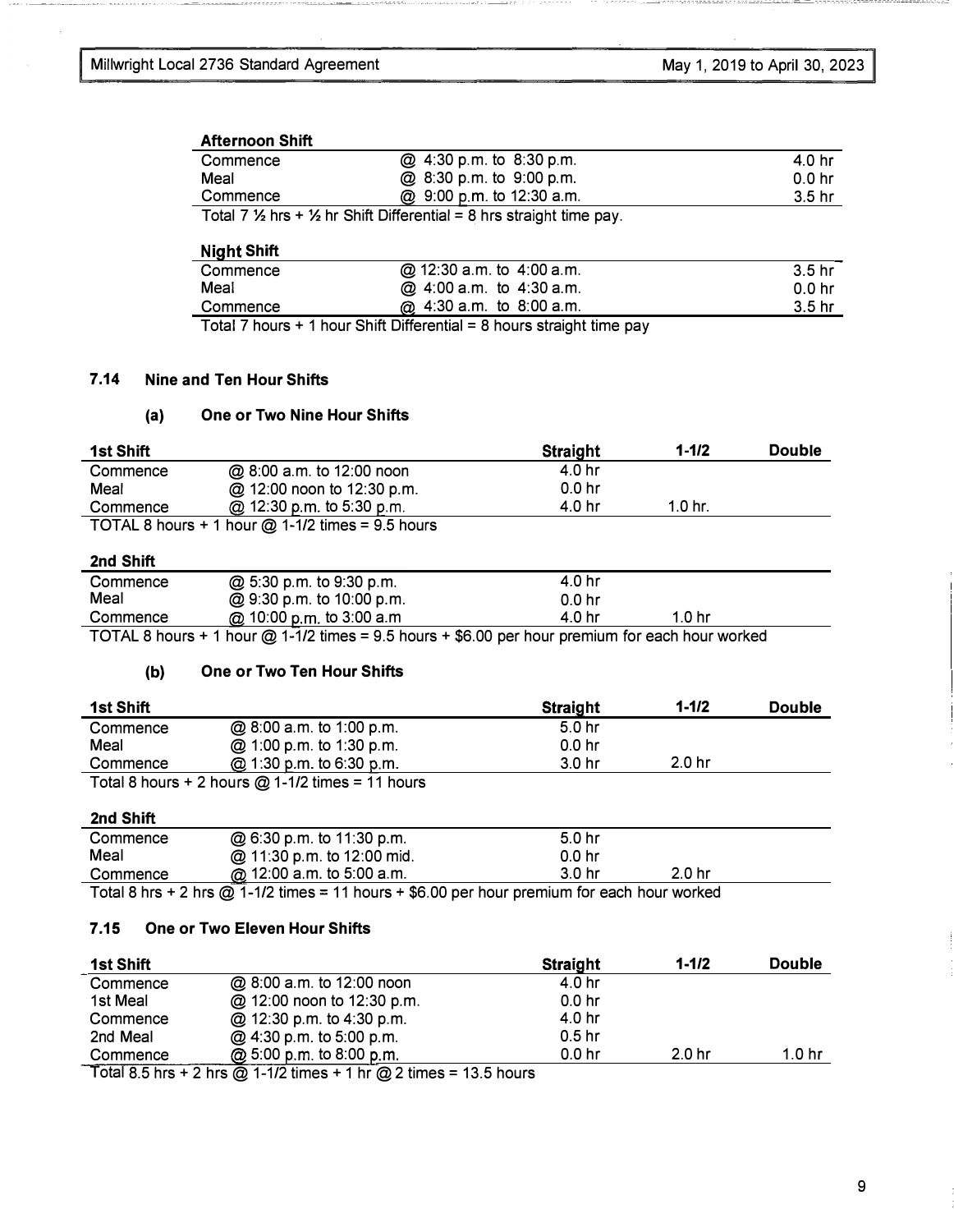#### Afternoon Shift

| Commence | @ 4:30 p.m. to 8:30 p.m.                                                                   | 40 hr             |
|----------|--------------------------------------------------------------------------------------------|-------------------|
| Meal     | @ 8:30 p.m. to 9:00 p.m.                                                                   | 0.0 <sub>hr</sub> |
| Commence | @ 9:00 p.m. to 12:30 a.m.                                                                  | .3.5 hr           |
|          | Total 7 $\frac{1}{2}$ hrs + $\frac{1}{2}$ hr Shift Differential = 8 hrs straight time pay. |                   |

#### Night Shift

| Commence | @ 12:30 a.m. to 4:00 a.m.                                                                                           | 3.5 <sub>hr</sub> |
|----------|---------------------------------------------------------------------------------------------------------------------|-------------------|
| Meal     | @ 4:00 a.m. to 4:30 a.m.                                                                                            | 0.0 <sub>hr</sub> |
| Commence | @ 4:30 a.m. to 8:00 a.m.                                                                                            | 3.5 <sub>hr</sub> |
|          | $T_{\rm{c}}$ and $T_{\rm{c}}$ become and become Object Differential and Decome extended the summary of $T_{\rm{c}}$ |                   |

Total 7 hours + 1 hour Shift Differential = 8 hours straight time pay

#### 7.14 Nine and Ten Hour Shifts

#### (a) One or Two Nine Hour Shifts

| 1st Shift |                                                      | Straight          | $1 - 1/2$ | <b>Double</b> |
|-----------|------------------------------------------------------|-------------------|-----------|---------------|
| Commence  | @ 8:00 a.m. to 12:00 noon                            | 4.0 <sub>hr</sub> |           |               |
| Meal      | @ 12:00 noon to 12:30 p.m.                           | 0.0 <sub>hr</sub> |           |               |
| Commence  | @ 12:30 p.m. to 5:30 p.m.                            | 4.0 <sub>hr</sub> | 1.0 hr.   |               |
|           | TOTAL 8 hours $+$ 1 hour $@$ 1-1/2 times = 9.5 hours |                   |           |               |

## 2nd Shift

| Commence | @ 5:30 p.m. to 9:30 p.m.                                                                                                           | 4.0 hr   |                   |
|----------|------------------------------------------------------------------------------------------------------------------------------------|----------|-------------------|
| Meal     | @ 9:30 p.m. to 10:00 p.m.                                                                                                          | $0.0$ hr |                   |
| Commence | $@$ 10:00 p.m. to 3:00 a.m                                                                                                         | 4.0 hr   | 1.0 <sub>hr</sub> |
|          | $TOTAI$ , $R$ hours $+1$ hour $\oslash 1.1/2$ times $=$ $9.5$ hours $+$ $R$ $\oslash$ $\lozenge$ hour premium for each hour worked |          |                   |

# TOTAL 8 hours+ 1 hour@ 1-1/2 times= 9.5 hours+ \$6.00 per hour premium for each hour worked

#### (b) One or Two Ten Hour Shifts

| 1st Shift |                                                      | <b>Straight</b>   | $1 - 1/2$         | <b>Double</b> |
|-----------|------------------------------------------------------|-------------------|-------------------|---------------|
| Commence  | @ 8:00 a.m. to 1:00 p.m.                             | 5.0 <sub>hr</sub> |                   |               |
| Meal      | @ 1:00 p.m. to 1:30 p.m.                             | 0.0 <sub>hr</sub> |                   |               |
| Commence  | @ 1:30 p.m. to 6:30 p.m.                             | 3.0 <sub>hr</sub> | 2.0 <sub>hr</sub> |               |
|           | Total 8 hours $+ 2$ hours $@$ 1-1/2 times = 11 hours |                   |                   |               |

### 2nd Shift

| Commence | @ 6:30 p.m. to 11:30 p.m.                                                                          | 5.0 <sub>hr</sub> |        |  |
|----------|----------------------------------------------------------------------------------------------------|-------------------|--------|--|
| Meal     | @ 11:30 p.m. to 12:00 mid.                                                                         | 0.0 <sub>hr</sub> |        |  |
| Commence | @ 12:00 a.m. to 5:00 a.m.                                                                          | 3.0 hr            | 2.0 hr |  |
|          | <b>Tatal Obac + Obac @ 4.40 flavor = 4.4 bound + @0.00</b> was boundary to the speak boundary deal |                   |        |  |

Total 8 hrs + 2 hrs  $@$  1-1/2 times = 11 hours + \$6.00 per hour premium for each hour worked

#### 7.15 One or Two Eleven Hour Shifts

| <b>1st Shift</b> |                                                                                | <b>Straight</b>   | $1 - 1/2$         | <b>Double</b>     |
|------------------|--------------------------------------------------------------------------------|-------------------|-------------------|-------------------|
| Commence         | @ 8:00 a.m. to 12:00 noon                                                      | 4.0 hr            |                   |                   |
| 1st Meal         | @ 12:00 noon to 12:30 p.m.                                                     | 0.0 <sub>hr</sub> |                   |                   |
| Commence         | @ 12:30 p.m. to 4:30 p.m.                                                      | 4.0 <sub>hr</sub> |                   |                   |
| 2nd Meal         | @ 4:30 p.m. to 5:00 p.m.                                                       | 0.5 <sub>hr</sub> |                   |                   |
| Commence         | @ 5:00 p.m. to 8:00 p.m.                                                       | 0.0 <sub>hr</sub> | 2.0 <sub>hr</sub> | 1.0 <sub>hr</sub> |
|                  | $Total 8.5$ hrs + 3 hrs $\odot$ 1.10 times + 1 hr $\odot$ 3 times - 13.5 hours |                   |                   |                   |

Total 8.5 hrs + 2 hrs  $@$  1-1/2 times + 1 hr  $@$  2 times = 13.5 hours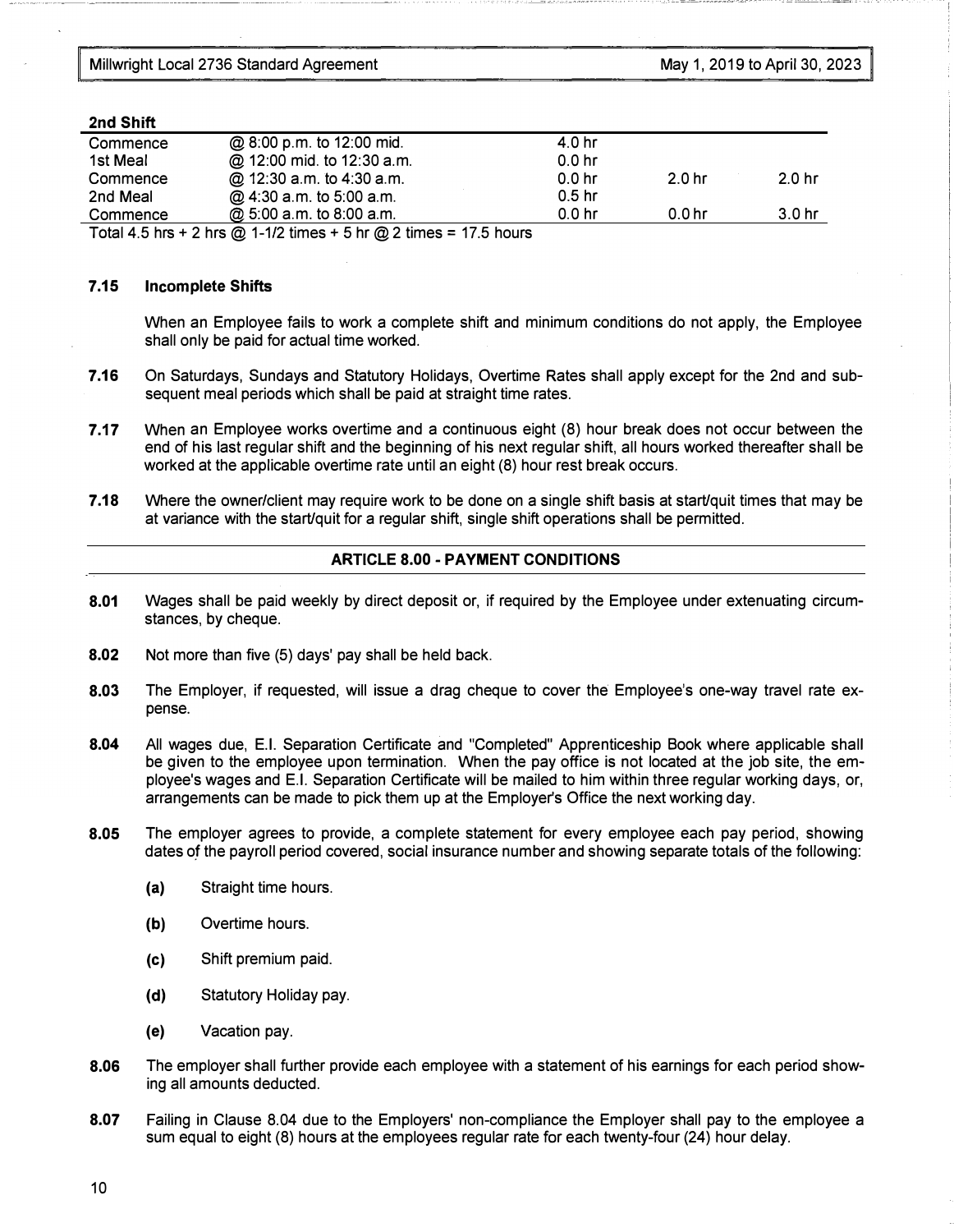#### 2nd Shift

| Commence    | @ 8:00 p.m. to 12:00 mid.   | 4.0 hr            |                   |                   |
|-------------|-----------------------------|-------------------|-------------------|-------------------|
| 1st Meal    | @ 12:00 mid. to 12:30 a.m.  | 0.0 <sub>hr</sub> |                   |                   |
| Commence    | @ 12:30 a.m. to 4:30 a.m.   | 0.0 <sub>hr</sub> | 2.0 <sub>hr</sub> | 2.0 <sub>hr</sub> |
| 2nd Meal    | @ 4:30 a.m. to 5:00 a.m.    | 0.5 <sub>hr</sub> |                   |                   |
| Commence    | @ 5:00 a.m. to 8:00 a.m.    | 0.0 <sub>hr</sub> | 0.0 <sub>hr</sub> | 3.0 hr            |
| _ _ _ _ _ _ | _ _ _ _ _<br>$\sim$ $ \sim$ |                   |                   |                   |

Total 4.5 hrs + 2 hrs @ 1-1/2 times + 5 hr @ 2 times = 17.5 hours

#### 7.15 Incomplete Shifts

When an Employee fails to work a complete shift and minimum conditions do not apply, the Employee shall only be paid for actual time worked.

- 7.16 On Saturdays, Sundays and Statutory Holidays, Overtime Rates shall apply except for the 2nd and subsequent meal periods which shall be paid at straight time rates.
- 7.17 When an Employee works overtime and a continuous eight (8) hour break does not occur between the end of his last regular shift and the beginning of his next regular shift, all hours worked thereafter shall be worked at the applicable overtime rate until an eight (8) hour rest break occurs.
- 7.18 Where the owner/client may require work to be done on a single shift basis at start/quit times that may be at variance with the start/quit for a regular shift, single shift operations shall be permitted.

#### ARTICLE 8.00- PAYMENT CONDITIONS

- 8.01 Wages shall be paid weekly by direct deposit or, if required by the Employee under extenuating circumstances, by cheque.
- 8.02 Not more than five (5) days' pay shall be held back.
- 8.03 The Employer, if requested, will issue a drag cheque to cover the Employee's one-way travel rate expense.
- 8.04 All wages due, E.I. Separation Certificate and "Completed" Apprenticeship Book where applicable shall be given to the employee upon termination. When the pay office is not located at the job site, the employee's wages and E.I. Separation Certificate will be mailed to him within three regular working days, or, arrangements can be made to pick them up at the Employer's Office the next working day.
- 8.05 The employer agrees to provide, a complete statement for every employee each pay period, showing dates of the payroll period covered, social insurance number and showing separate totals of the following:
	- (a) Straight time hours.
	- (b) Overtime hours.
	- (c) Shift premium paid.
	- (d) Statutory Holiday pay.
	- (e) Vacation pay.
- 8.06 The employer shall further provide each employee with a statement of his earnings for each period showing all amounts deducted.
- 8.07 Failing in Clause 8.04 due to the Employers' non-compliance the Employer shall pay to the employee a sum equal to eight (8) hours at the employees regular rate for each twenty-four (24) hour delay.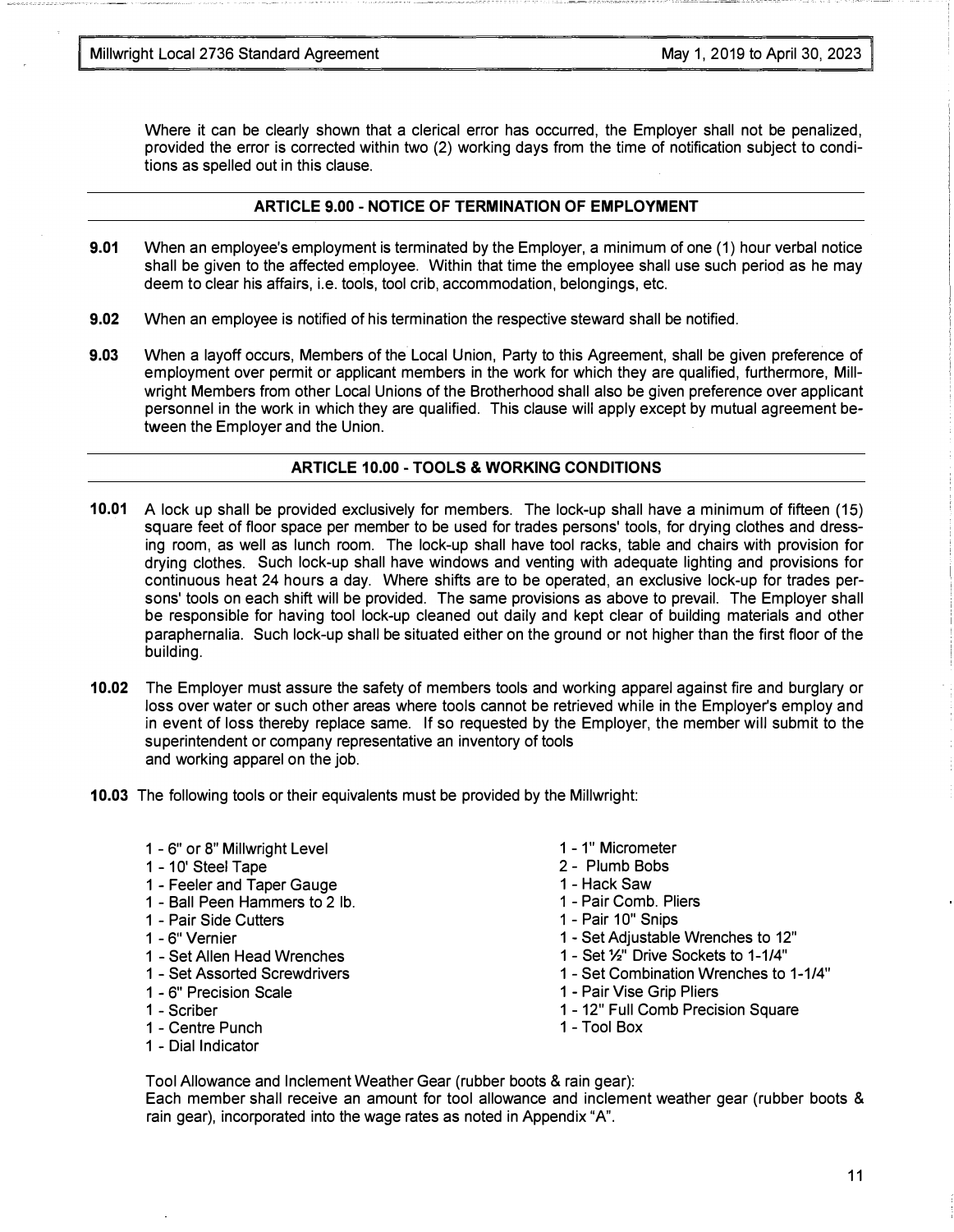Where it can be clearly shown that a clerical error has occurred, the Employer shall not be penalized, provided the error is corrected within two (2) working days from the time of notification subject to conditions as spelled out in this clause.

#### ARTICLE 9.00 - NOTICE OF TERMINATION OF EMPLOYMENT

- 9.01 When an employee's employment is terminated by the Employer, a minimum of one (1) hour verbal notice shall be given to the affected employee. Within that time the employee shall use such period as he may deem to clear his affairs, i.e. tools, tool crib, accommodation, belongings, etc.
- 9.02 When an employee is notified of his termination the respective steward shall be notified.
- 9.03 When a layoff occurs, Members of the Local Union, Party to this Agreement, shall be given preference of employment over permit or applicant members in the work for which they are qualified, furthermore, Millwright Members from other Local Unions of the Brotherhood shall also be given preference over applicant personnel in the work in which they are qualified. This clause will apply except by mutual agreement between the Employer and the Union.

#### ARTICLE 10.00 -TOOLS & WORKING CONDITIONS

- 10.01 A lock up shall be provided exclusively for members. The lock-up shall have a minimum of fifteen (15) square feet of floor space per member to be used for trades persons' tools, for drying clothes and dressing room, as well as lunch room. The lock-up shall have tool racks, table and chairs with provision for drying clothes. Such lock-up shall have windows and venting with adequate lighting and provisions for continuous heat 24 hours a day. Where shifts are to be operated, an exclusive lock-up for trades persons' tools on each shift will be provided. The same provisions as above to prevail. The Employer shall be responsible for having tool lock-up cleaned out daily and kept clear of building materials and other paraphernalia. Such lock-up shall be situated either on the ground or not higher than the first floor of the building.
- 10.02 The Employer must assure the safety of members tools and working apparel against fire and burglary or loss over water or such other areas where tools cannot be retrieved while in the Employer's employ and in event of loss thereby replace same. If so requested by the Employer, the member will submit to the superintendent or company representative an inventory of tools and working apparel on the job.
- 10.03 The following tools or their equivalents must be provided by the Millwright:
	- 1 6" or 8" Millwright Level
	- 1 10' Steel Tape
	- 1 Feeler and Taper Gauge
	- 1 Ball Peen Hammers to 2 lb.
	- 1 Pair Side Cutters
	- 1 6" Vernier
	- 1 Set Allen Head Wrenches
	- 1 Set Assorted Screwdrivers
	- 1 6" Precision Scale
	- 1 Scriber
	- 1 Centre Punch
	- 1 Dial Indicator
- 1 1" Micrometer
- 2 Plumb Bobs
- 1 Hack Saw
- 1 Pair Comb. Pliers
- 1 Pair 10" Snips
- 1 Set Adjustable Wrenches to 12"
- 1 Set%" Drive Sockets to 1-1/4"
- 1 Set Combination Wrenches to 1-1/4"
- 1 Pair Vise Grip Pliers
- 1 12" Full Comb Precision Square
- 1 -Tool Box

Tool Allowance and Inclement Weather Gear (rubber boots & rain gear): Each member shall receive an amount for tool allowance and inclement weather gear (rubber boots & rain gear), incorporated into the wage rates as noted in Appendix "A".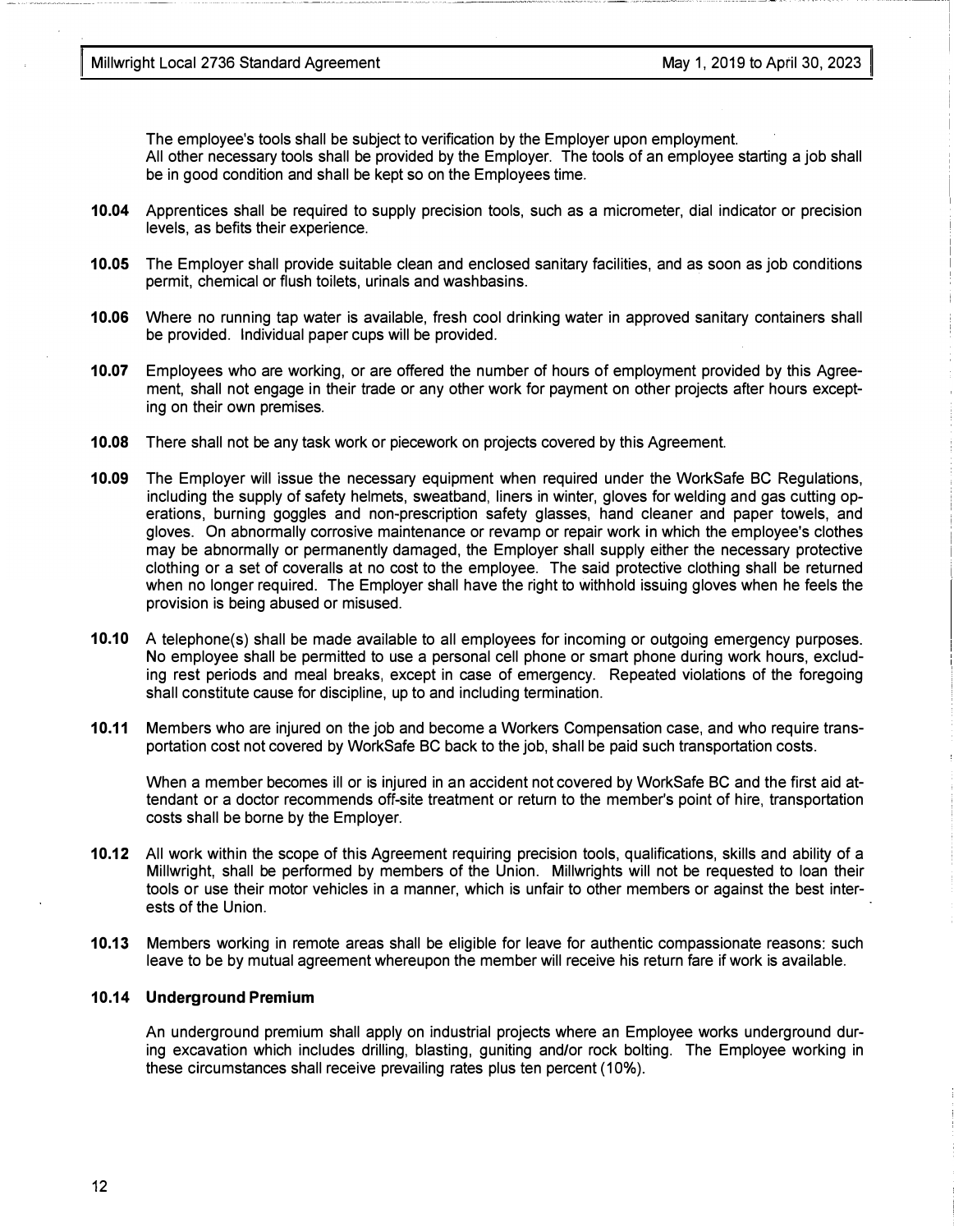The employee's tools shall be subject to verification by the Employer upon employment. All other necessary tools shall be provided by the Employer. The tools of an employee starting a job shall be in good condition and shall be kept so on the Employees time.

- 10.04 Apprentices shall be required to supply precision tools, such as a micrometer, dial indicator or precision levels, as befits their experience.
- 10.05 The Employer shall provide suitable clean and enclosed sanitary facilities, and as soon as job conditions permit, chemical or flush toilets, urinals and washbasins.
- 10.06 Where no running tap water is available, fresh cool drinking water in approved sanitary containers shall be provided. Individual paper cups will be provided.
- 10.07 Employees who are working, or are offered the number of hours of employment provided by this Agreement, shall not engage in their trade or any other work for payment on other projects after hours excepting on their own premises.
- 10.08 There shall not be any task work or piecework on projects covered by this Agreement.
- 10.09 The Employer will issue the necessary equipment when required under the WorkSafe BC Regulations, including the supply of safety helmets, sweatband, liners in winter, gloves for welding and gas cutting operations, burning goggles and non-prescription safety glasses, hand cleaner and paper towels, and gloves. On abnormally corrosive maintenance or revamp or repair work in which the employee's clothes may be abnormally or permanently damaged, the Employer shall supply either the necessary protective clothing or a set of coveralls at no cost to the employee. The said protective clothing shall be returned when no longer required. The Employer shall have the right to withhold issuing gloves when he feels the provision is being abused or misused.
- 10.10 A telephone(s) shall be made available to all employees for incoming or outgoing emergency purposes. No employee shall be permitted to use a personal cell phone or smart phone during work hours, excluding rest periods and meal breaks, except in case of emergency. Repeated violations of the foregoing shall constitute cause for discipline, up to and including termination.
- 10.11 Members who are injured on the job and become a Workers Compensation case, and who require transportation cost not covered by WorkSafe BC back to the job, shall be paid such transportation costs.

When a member becomes ill or is injured in an accident not covered by WorkSafe BC and the first aid attendant or a doctor recommends off-site treatment or return to the member's point of hire, transportation costs shall be borne by the Employer.

- 10.12 All work within the scope of this Agreement requiring precision tools, qualifications, skills and ability of a Millwright, shall be performed by members of the Union. Millwrights will not be requested to loan their tools or use their motor vehicles in a manner, which is unfair to other members or against the best interests of the Union.
- 10.13 Members working in remote areas shall be eligible for leave for authentic compassionate reasons: such leave to be by mutual agreement whereupon the member will receive his return fare if work is available.

#### 10.14 Underground Premium

An underground premium shall apply on industrial projects where an Employee works underground during excavation which includes drilling, blasting, guniting and/or rock bolting. The Employee working in these circumstances shall receive prevailing rates plus ten percent ( 10% ).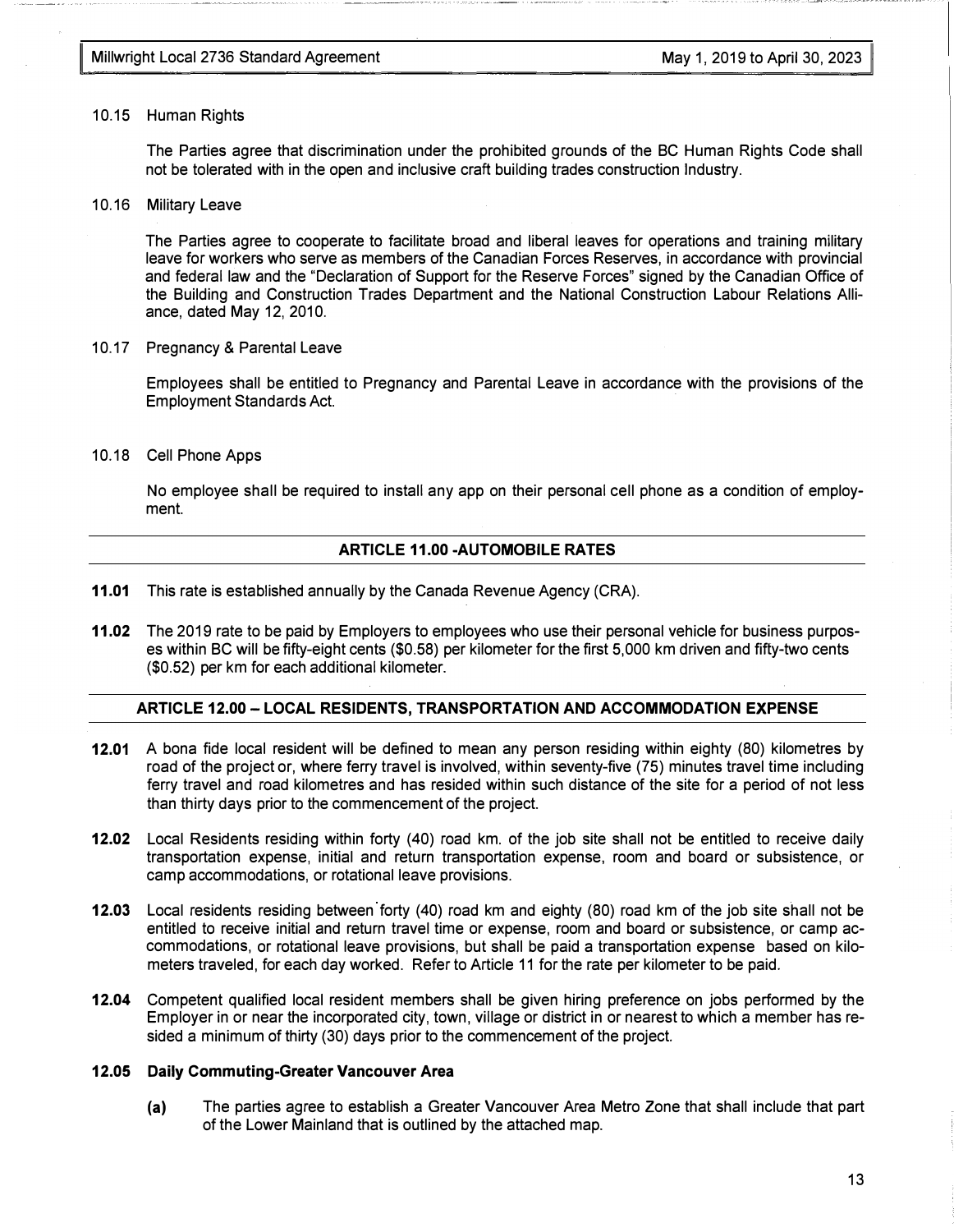#### 10.15 Human Rights

The Parties agree that discrimination under the prohibited grounds of the BC Human Rights Code shall not be tolerated with in the open and inclusive craft building trades construction Industry.

10.16 Military Leave

The Parties agree to cooperate to facilitate broad and liberal leaves for operations and training military leave for workers who serve as members of the Canadian Forces Reserves, in accordance with provincial and federal law and the "Declaration of Support for the Reserve Forces" signed by the Canadian Office of the Building and Construction Trades Department and the National Construction Labour Relations Alliance, dated May 12, 2010.

10.17 Pregnancy & Parental Leave

Employees shall be entitled to Pregnancy and Parental Leave in accordance with the provisions of the Employment Standards Act.

10.18 Cell Phone Apps

No employee shall be required to install any app on their personal cell phone as a condition of employment.

#### ARTICLE 11.00-AUTOMOBILE RATES

- 11.01 This rate is established annually by the Canada Revenue Agency (CRA).
- 11.02 The 2019 rate to be paid by Employers to employees who use their personal vehicle for business purposes within BC will be fifty-eight cents (\$0.58) per kilometer for the first 5,000 km driven and fifty-two cents (\$0.52) per km for each additional kilometer.

#### ARTICLE 12.00 - LOCAL RESIDENTS, TRANSPORTATION AND ACCOMMODATION EXPENSE

- 12.01 A bona fide local resident will be defined to mean any person residing within eighty (80) kilometres by road of the project or, where ferry travel is involved, within seventy-five (75) minutes travel time including ferry travel and road kilometres and has resided within such distance of the site for a period of not less than thirty days prior to the commencement of the project.
- 12.02 Local Residents residing within forty (40) road km. of the job site shall not be entitled to receive daily transportation expense, initial and return transportation expense, room and board or subsistence, or camp accommodations, or rotational leave provisions.
- 12.03 Local residents residing between forty (40) road km and eighty (80) road km of the job site shall not be entitled to receive initial and return travel time or expense, room and board or subsistence, or camp accommodations, or rotational leave provisions, but shall be paid a transportation expense based on kilometers traveled, for each day worked. Refer to Article 11 for the rate per kilometer to be paid.
- 12.04 Competent qualified local resident members shall be given hiring preference on jobs performed by the Employer in or near the incorporated city, town, village or district in or nearest to which a member has resided a minimum of thirty (30) days prior to the commencement of the project.

#### 12.05 Daily Commuting-Greater Vancouver Area

(a) The parties agree to establish a Greater Vancouver Area Metro Zone that shall include that part of the Lower Mainland that is outlined by the attached map.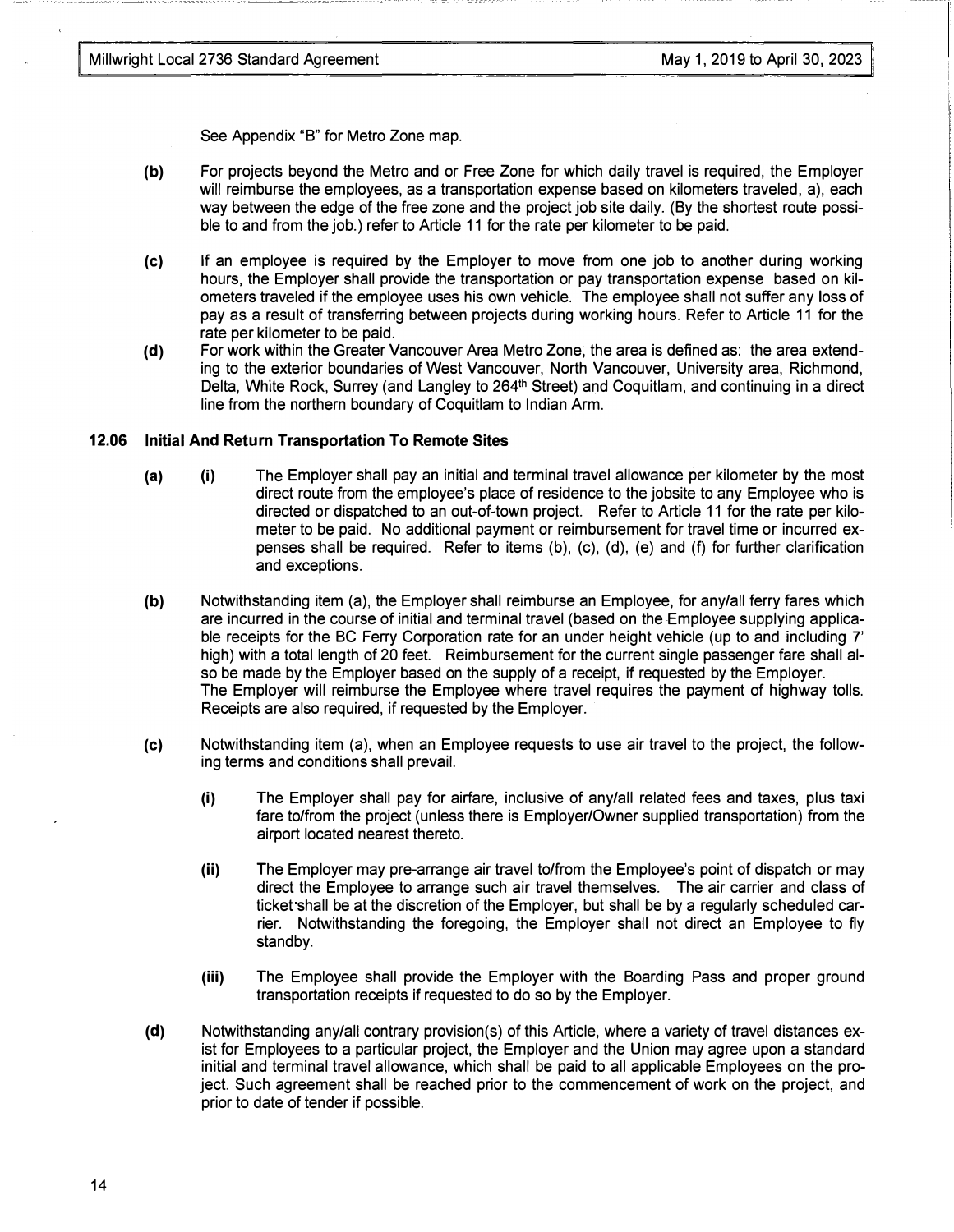See Appendix "B" for Metro Zone map.

- (b) For projects beyond the Metro and or Free Zone for which daily travel is required, the Employer will reimburse the employees, as a transportation expense based on kilometers traveled, a), each way between the edge of the free zone and the project job site daily. (By the shortest route possible to and from the job.) refer to Article 11 for the rate per kilometer to be paid.
- (c) If an employee is required by the Employer to move from one job to another during working hours, the Employer shall provide the transportation or pay transportation expense based on kilometers traveled if the employee uses his own vehicle. The employee shall not suffer any loss of pay as a result of transferring between projects during working hours. Refer to Article 11 for the rate per kilometer to be paid.
- (d) For work within the Greater Vancouver Area Metro Zone, the area is defined as: the area extending to the exterior boundaries of West Vancouver, North Vancouver, University area, Richmond, Delta, White Rock, Surrey (and Langley to 264<sup>th</sup> Street) and Coquitlam, and continuing in a direct line from the northern boundary of Coquitlam to Indian Arm.

#### 12.06 Initial And Return Transportation To Remote Sites

- (a) (i) The Employer shall pay an initial and terminal travel allowance per kilometer by the most direct route from the employee's place of residence to the jobsite to any Employee who is directed or dispatched to an out-of-town project. Refer to Article 11 for the rate per kilometer to be paid. No additional payment or reimbursement for travel time or incurred expenses shall be required. Refer to items (b), (c), (d), (e) and (f) for further clarification and exceptions.
- (b) Notwithstanding item (a), the Employer shall reimburse an Employee, for any/all ferry fares which are incurred in the course of initial and terminal travel (based on the Employee supplying applicable receipts for the BC Ferry Corporation rate for an under height vehicle (up to and including 7' high) with a total length of 20 feet. Reimbursement for the current single passenger fare shall also be made by the Employer based on the supply of a receipt, if requested by the Employer. The Employer will reimburse the Employee where travel requires the payment of highway tolls. Receipts are also required, if requested by the Employer.
- (c) Notwithstanding item (a), when an Employee requests to use air travel to the project, the following terms and conditions shall prevail.
	- (i) The Employer shall pay for airfare, inclusive of any/all related fees and taxes, plus taxi fare to/from the project (unless there is Employer/Owner supplied transportation) from the airport located nearest thereto.
	- (ii) The Employer may pre-arrange air travel to/from the Employee's point of dispatch or may direct the Employee to arrange such air travel themselves. The air carrier and class of ticket shall be at the discretion of the Employer, but shall be by a regularly scheduled carrier. Notwithstanding the foregoing, the Employer shall not direct an Employee to fly standby.
	- (iii) The Employee shall provide the Employer with the Boarding Pass and proper ground transportation receipts if requested to do so by the Employer.
- (d) Notwithstanding any/all contrary provision(s) of this Article, where a variety of travel distances exist for Employees to a particular project, the Employer and the Union may agree upon a standard initial and terminal travel allowance, which shall be paid to all applicable Employees on the project. Such agreement shall be reached prior to the commencement of work on the project, and prior to date of tender if possible.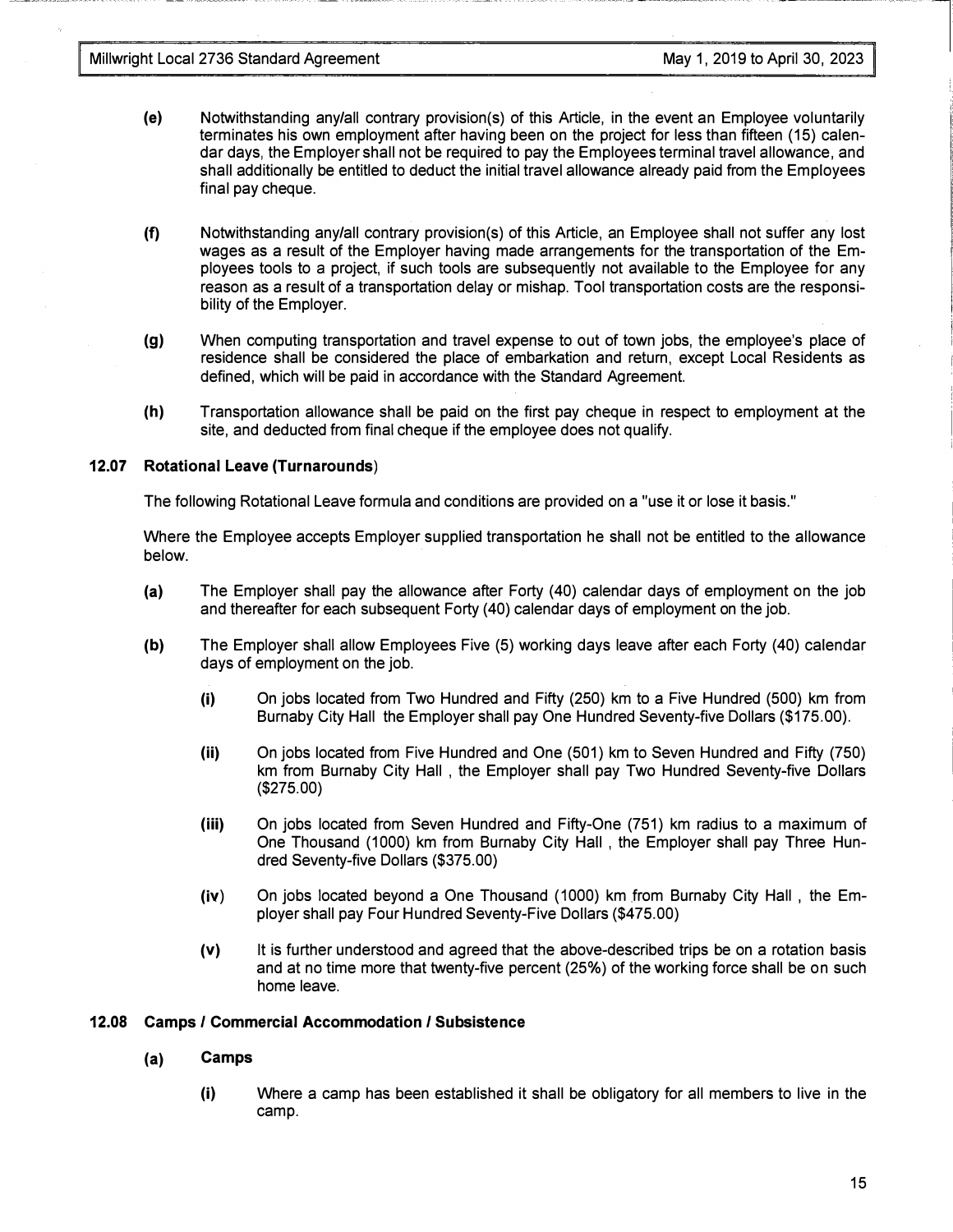- (e) Notwithstanding any/all contrary provision(s) of this Article, in the event an Employee voluntarily terminates his own employment after having been on the project for less than fifteen (15) calendar days, the Employer shall not be required to pay the Employees terminal travel allowance, and shall additionally be entitled to deduct the initial travel allowance already paid from the Employees final pay cheque.
- (f) Notwithstanding any/all contrary provision(s) of this Article, an Employee shall not suffer any lost wages as a result of the Employer having made arrangements for the transportation of the Employees tools to a project, if such tools are subsequently not available to the Employee for any reason as a result of a transportation delay or mishap. Tool transportation costs are the responsibility of the Employer.
- (g) When computing transportation and travel expense to out of town jobs, the employee's place of residence shall be considered the place of embarkation and return, except Local Residents as defined, which will be paid in accordance with the Standard Agreement.
- (h) Transportation allowance shall be paid on the first pay cheque in respect to employment at the site, and deducted from final cheque if the employee does not qualify.

#### 12.07 Rotational Leave (Turnarounds)

The following Rotational Leave formula and conditions are provided on a "use it or lose it basis."

Where the Employee accepts Employer supplied transportation he shall not be entitled to the allowance below.

- (a) The Employer shall pay the allowance after Forty (40) calendar days of employment on the job and thereafter for each subsequent Forty (40) calendar days of employment on the job.
- (b) The Employer shall allow Employees Five (5) working days leave after each Forty (40) calendar days of employment on the job.
	- (i) On jobs located from Two Hundred and Fifty (250) km to a Five Hundred (500) km from Burnaby City Hall the Employer shall pay One Hundred Seventy-five Dollars (\$175.00).
	- (ii) On jobs located from Five Hundred and One (501) km to Seven Hundred and Fifty (750) km from Burnaby City Hall , the Employer shall pay Two Hundred Seventy-five Dollars (\$275.00)
	- (iii) On jobs located from Seven Hundred and Fifty-One (751) km radius to a maximum of One Thousand (1000) km from Burnaby City Hall , the Employer shall pay Three Hundred Seventy-five Dollars (\$375.00)
	- $(iv)$  On jobs located beyond a One Thousand (1000) km from Burnaby City Hall, the Employer shall pay Four Hundred Seventy-Five Dollars (\$475.00)
	- (v) It is further understood and agreed that the above-described trips be on a rotation basis and at no time more that twenty-five percent (25%) of the working force shall be on such home leave.

#### 12.08 Camps I Commercial Accommodation I Subsistence

#### (a) Camps

(i) Where a camp has been established it shall be obligatory for all members to live in the camp.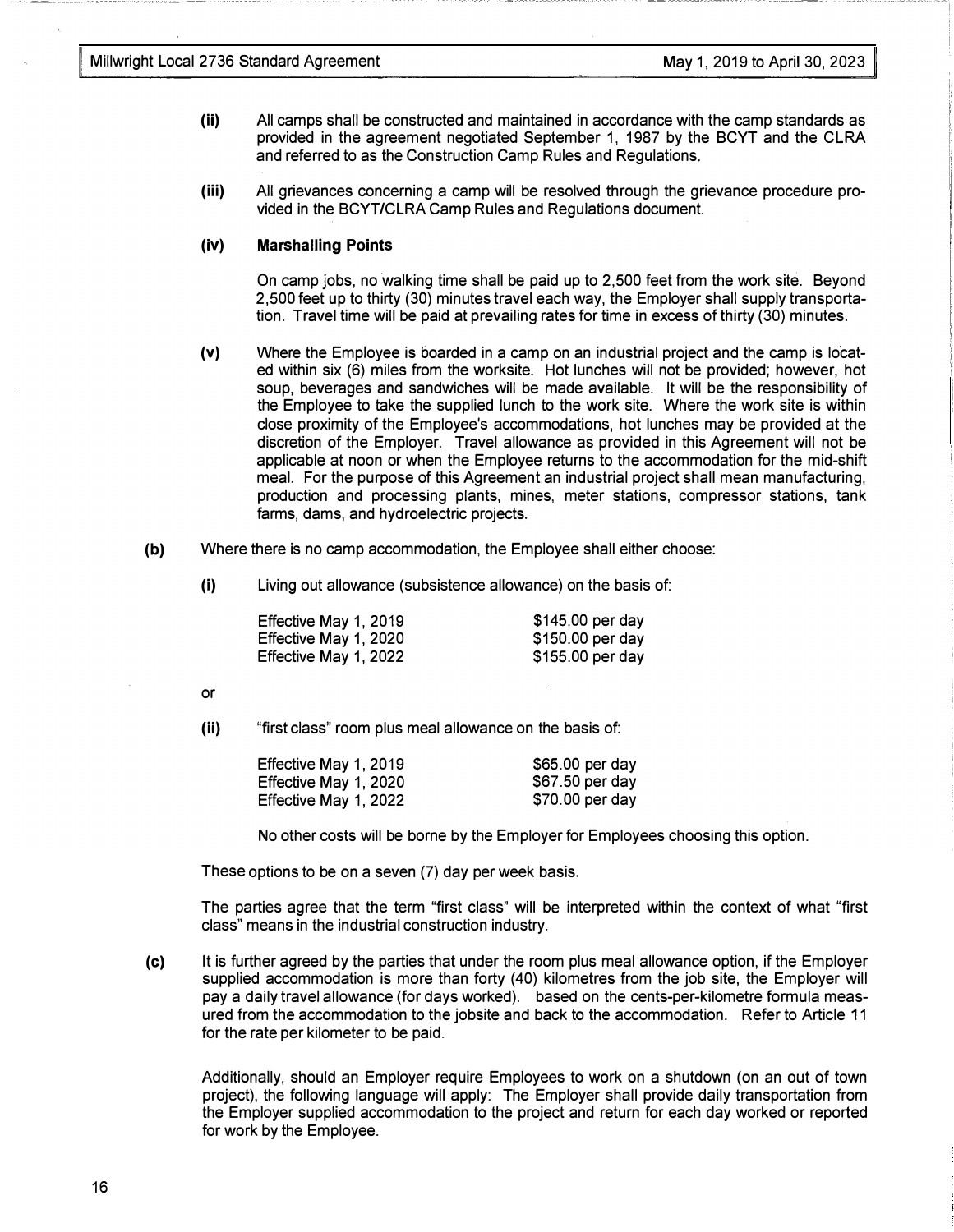- (ii) All camps shall be constructed and maintained in accordance with the camp standards as provided in the agreement negotiated September 1, 1987 by the BCYT and the CLRA and referred to as the Construction Camp Rules and Regulations.
- (iii) All grievances concerning a camp will be resolved through the grievance procedure provided in the BCYT/CLRA Camp Rules and Regulations document.

#### (iv) Marshalling Points

On camp jobs, no walking time shall be paid up to 2,500 feet from the work site. Beyond 2,500 feet up to thirty (30) minutes travel each way, the Employer shall supply transportation. Travel time will be paid at prevailing rates for time in excess of thirty (30) minutes.

- (v) Where the Employee is boarded in a camp on an industrial project and the camp is located within six (6) miles from the worksite. Hot lunches will not be provided; however, hot soup, beverages and sandwiches will be made available. It will be the responsibility of the Employee to take the supplied lunch to the work site. Where the work site is within close proximity of the Employee's accommodations, hot lunches may be provided at the discretion of the Employer. Travel allowance as provided in this Agreement will not be applicable at noon or when the Employee returns to the accommodation for the mid-shift meal. For the purpose of this Agreement an industrial project shall mean manufacturing, production and processing plants, mines, meter stations, compressor stations, tank farms, dams, and hydroelectric projects.
- (b) Where there is no camp accommodation, the Employee shall either choose:
	- (i) Living out allowance (subsistence allowance) on the basis of:

| Effective May 1, 2019 | \$145.00 per day  |
|-----------------------|-------------------|
| Effective May 1, 2020 | \$150.00 per day  |
| Effective May 1, 2022 | $$155.00$ per day |

or

(ii) "first class" room plus meal allowance on the basis of:

| Effective May 1, 2019 | $$65.00$ per day |
|-----------------------|------------------|
| Effective May 1, 2020 | $$67.50$ per day |
| Effective May 1, 2022 | $$70.00$ per day |

No other costs will be borne by the Employer for Employees choosing this option.

These options to be on a seven (7) day per week basis.

The parties agree that the term "first class" will be interpreted within the context of what "first class" means in the industrial construction industry.

(c) It is further agreed by the parties that under the room plus meal allowance option, if the Employer supplied accommodation is more than forty (40) kilometres from the job site, the Employer will pay a daily travel allowance (for days worked). based on the cents-per-kilometre formula measured from the accommodation to the jobsite and back to the accommodation. Refer to Article 11 for the rate per kilometer to be paid.

Additionally, should an Employer require Employees to work on a shutdown (on an out of town project), the following language will apply: The Employer shall provide daily transportation from the Employer supplied accommodation to the project and return for each day worked or reported for work by the Employee.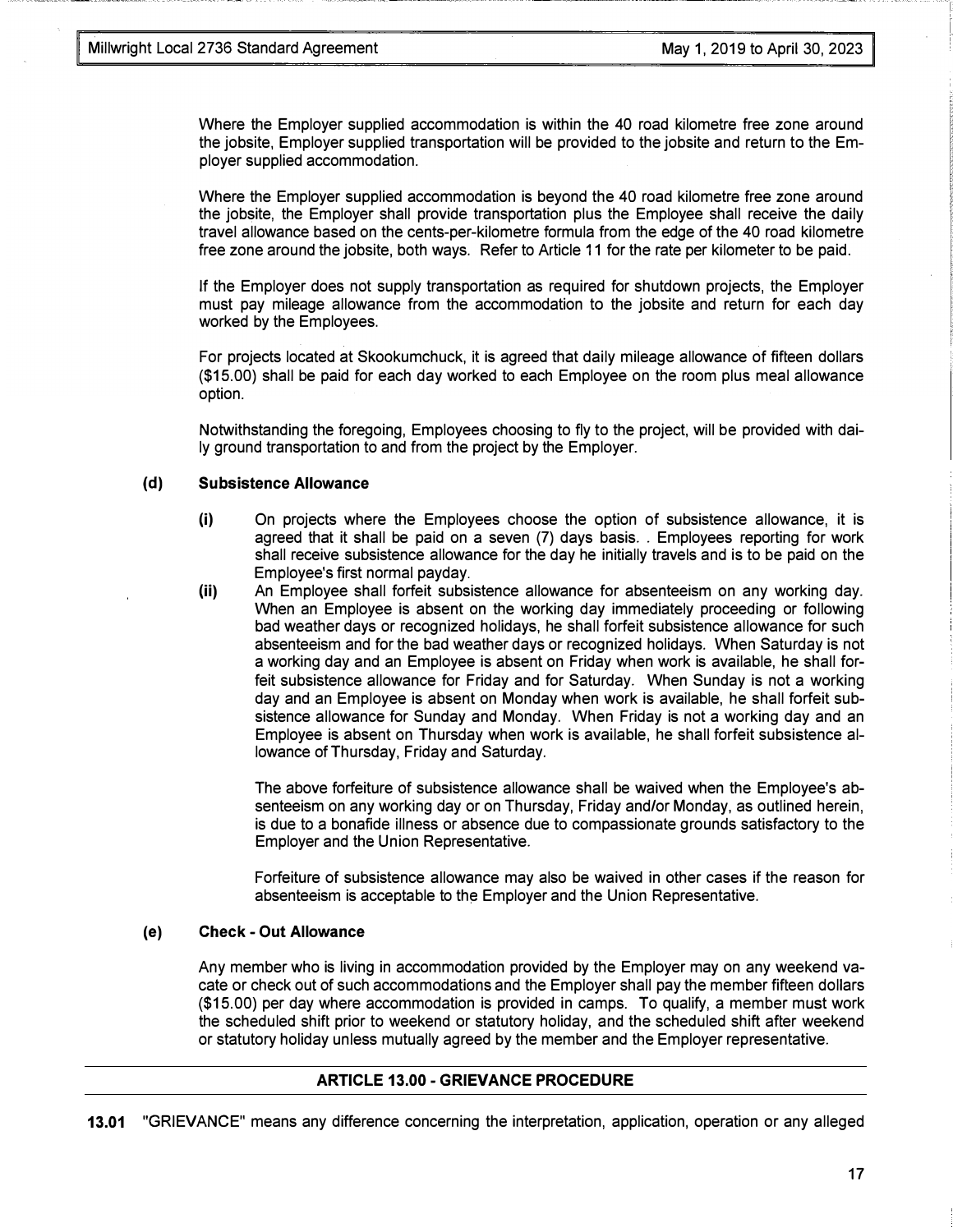Where the Employer supplied accommodation is within the 40 road kilometre free zone around the jobsite, Employer supplied transportation will be provided to the jobsite and return to the Employer supplied accommodation.

Where the Employer supplied accommodation is beyond the 40 road kilometre free zone around the jobsite, the Employer shall provide transportation plus the Employee shall receive the daily travel allowance based on the cents-per-kilometre formula from the edge of the 40 road kilometre free zone around the jobsite, both ways. Refer to Article 11 for the rate per kilometer to be paid.

If the Employer does not supply transportation as required for shutdown projects, the Employer must pay mileage allowance from the accommodation to the jobsite and return for each day worked by the Employees.

For projects located at Skookumchuck, it is agreed that daily mileage allowance of fifteen dollars (\$15.00) shall be paid for each day worked to each Employee on the room plus meal allowance option.

Notwithstanding the foregoing, Employees choosing to fly to the project, will be provided with daily ground transportation to and from the project by the Employer.

#### (d) Subsistence Allowance

- (i) On projects where the Employees choose the option of subsistence allowance, it is agreed that it shall be paid on a seven (7) days basis .. Employees reporting for work shall receive subsistence allowance for the day he initially travels and is to be paid on the Employee's first normal payday.
- (ii) An Employee shall forfeit subsistence allowance for absenteeism on any working day. When an Employee is absent on the working day immediately proceeding or following bad weather days or recognized holidays, he shall forfeit subsistence allowance for such absenteeism and for the bad weather days or recognized holidays. When Saturday is not a working day and an Employee is absent on Friday when work is available, he shall forfeit subsistence allowance for Friday and for Saturday. When Sunday is not a working day and an Employee is absent on Monday when work is available, he shall forfeit subsistence allowance for Sunday and Monday. When Friday is not a working day and an Employee is absent on Thursday when work is available, he shall forfeit subsistence allowance of Thursday, Friday and Saturday.

The above forfeiture of subsistence allowance shall be waived when the Employee's absenteeism on any working day or on Thursday, Friday and/or Monday, as outlined herein, is due to a bonafide illness or absence due to compassionate grounds satisfactory to the Employer and the Union Representative.

Forfeiture of subsistence allowance may also be waived in other cases if the reason for absenteeism is acceptable to the Employer and the Union Representative.

#### (e) Check - Out Allowance

Any member who is living in accommodation provided by the Employer may on any weekend vacate or check out of such accommodations and the Employer shall pay the member fifteen dollars (\$15.00) per day where accommodation is provided in camps. To qualify, a member must work the scheduled shift prior to weekend or statutory holiday, and the scheduled shift after weekend or statutory holiday unless mutually agreed by the member and the Employer representative.

#### ARTICLE 13.00 -GRIEVANCE PROCEDURE

13.01 "GRIEVANCE" means any difference concerning the interpretation, application, operation or any alleged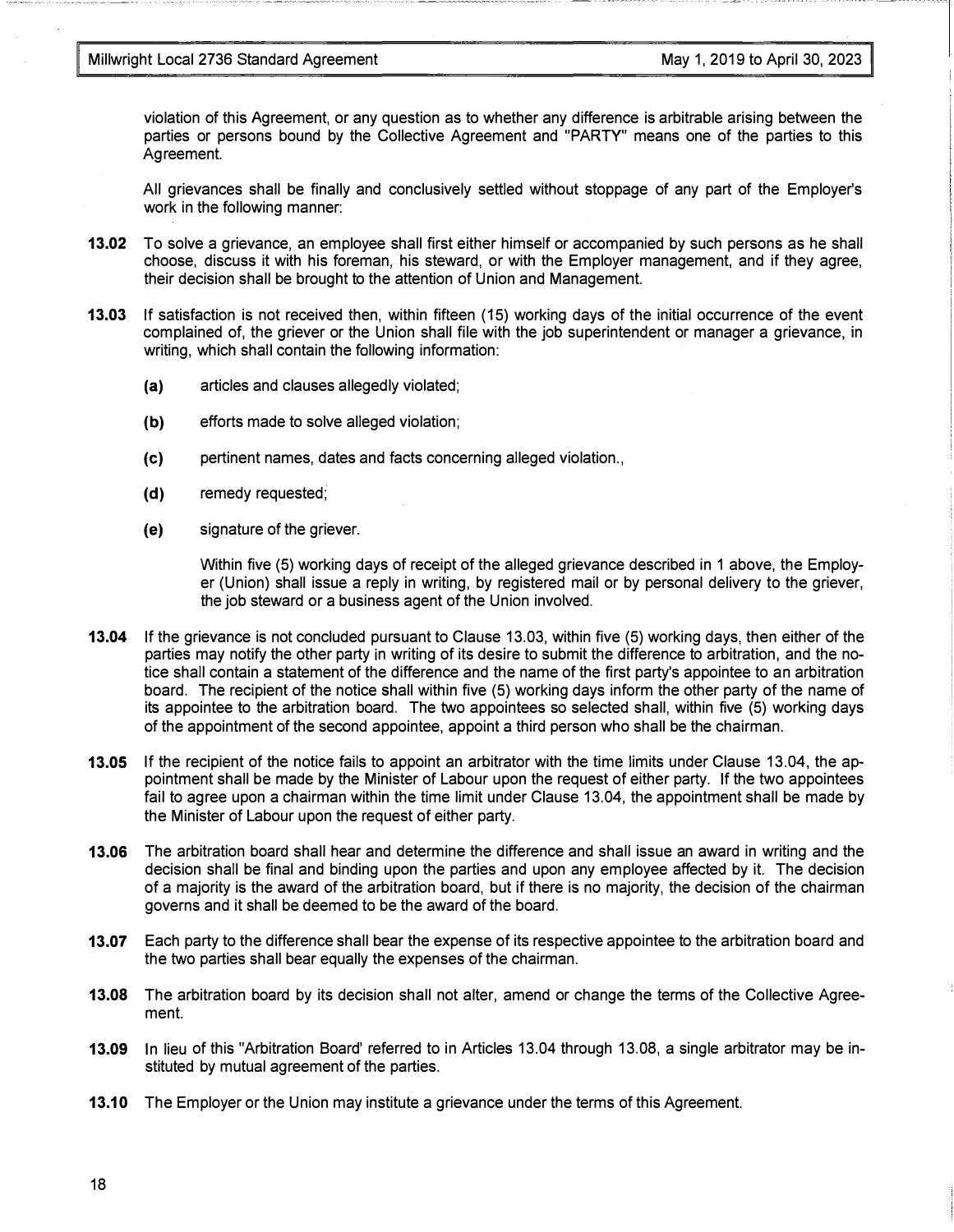violation of this Agreement, or any question as to whether any difference is arbitrable arising between the parties or persons bound by the Collective Agreement and "PARTY" means one of the parties to this Agreement.

All grievances shall be finally and conclusively settled without stoppage of any part of the Employer's work in the following manner:

- 13.02 To solve a grievance, an employee shall first either himself or accompanied by such persons as he shall choose, discuss it with his foreman, his steward, or with the Employer management, and if they agree, their decision shall be brought to the attention of Union and Management.
- 13.03 If satisfaction is not received then, within fifteen ( 15) working days of the initial occurrence of the event complained of, the griever or the Union shall file with the job superintendent or manager a grievance, in writing, which shall contain the following information:
	- (a) articles and clauses allegedly violated;
	- (b) efforts made to solve alleged violation;
	- (c) pertinent names, dates and facts concerning alleged violation.,
	- (d) remedy requested;
	- (e) signature of the griever.

Within five (5) working days of receipt of the alleged grievance described in 1 above, the Employer (Union) shall issue a reply in writing, by registered mail or by personal delivery to the griever, the job steward or a business agent of the Union involved.

- 13.04 If the grievance is not concluded pursuant to Clause 13.03, within five (5) working days, then either of the parties may notify the other party in writing of its desire to submit the difference to arbitration, and the notice shall contain a statement of the difference and the name of the first party's appointee to an arbitration board. The recipient of the notice shall within five (5) working days inform the other party of the name of its appointee to the arbitration board. The two appointees so selected shall, within five (5) working days of the appointment of the second appointee, appoint a third person who shall be the chairman.
- 13.05 If the recipient of the notice fails to appoint an arbitrator with the time limits under Clause 13.04, the appointment shall be made by the Minister of Labour upon the request of either party. If the two appointees fail to agree upon a chairman within the time limit under Clause 13.04, the appointment shall be made by the Minister of Labour upon the request of either party.
- 13.06 The arbitration board shall hear and determine the difference and shall issue an award in writing and the decision shall be final and binding upon the parties and upon any employee affected by it. The decision of a majority is the award of the arbitration board, but if there is no majority, the decision of the chairman governs and it shall be deemed to be the award of the board.
- 13.07 Each party to the difference shall bear the expense of its respective appointee to the arbitration board and the two parties shall bear equally the expenses of the chairman.
- 13.08 The arbitration board by its decision shall not alter, amend or change the terms of the Collective Agreement.
- 13.09 In lieu of this "Arbitration Board' referred to in Articles 13.04 through 13.08, a single arbitrator may be instituted by mutual agreement of the parties.
- 13.10 The Employer or the Union may institute a grievance under the terms of this Agreement.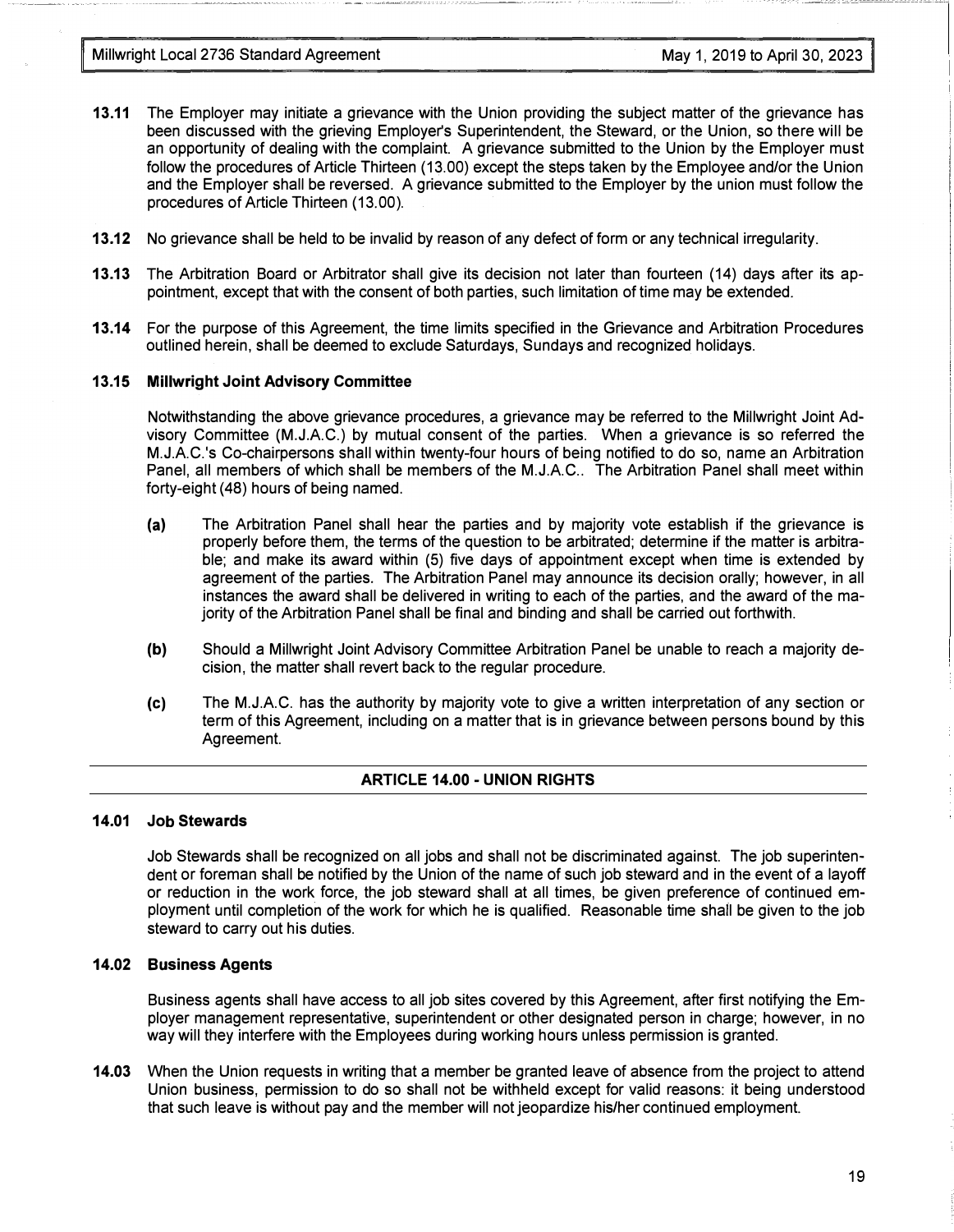Millwright Local 2736 Standard Agreement May 1, 2019 to April 30, 2023

- 13.11 The Employer may initiate a grievance with the Union providing the subject matter of the grievance has been discussed with the grieving Employer's Superintendent, the Steward, or the Union, so there will be an opportunity of dealing with the complaint. A grievance submitted to the Union by the Employer must follow the procedures of Article Thirteen (13.00) except the steps taken by the Employee and/or the Union and the Employer shall be reversed. A grievance submitted to the Employer by the union must follow the procedures of Article Thirteen (13.00).
- 13.12 No grievance shall be held to be invalid by reason of any defect of form or any technical irregularity.
- 13.13 The Arbitration Board or Arbitrator shall give its decision not later than fourteen ( 14) days after its appointment, except that with the consent of both parties, such limitation of time may be extended.
- 13.14 For the purpose of this Agreement, the time limits specified in the Grievance and Arbitration Procedures outlined herein, shall be deemed to exclude Saturdays, Sundays and recognized holidays.

#### 13.15 Millwright Joint Advisory Committee

Notwithstanding the above grievance procedures, a grievance may be referred to the Millwright Joint Advisory Committee (M.J.A.C.) by mutual consent of the parties. When a grievance is so referred the M.J.A.C.'s Co-chairpersons shall within twenty-four hours of being notified to do so, name an Arbitration Panel, all members of which shall be members of the M.J.A.C.. The Arbitration Panel shall meet within forty-eight (48) hours of being named.

- (a) The Arbitration Panel shall hear the parties and by majority vote establish if the grievance is properly before them, the terms of the question to be arbitrated; determine if the matter is arbitrable; and make its award within (5) five days of appointment except when time is extended by agreement of the parties. The Arbitration Panel may announce its decision orally; however, in all instances the award shall be delivered in writing to each of the parties, and the award of the majority of the Arbitration Panel shall be final and binding and shall be carried out forthwith.
- (b) Should a Millwright Joint Advisory Committee Arbitration Panel be unable to reach a majority decision, the matter shall revert back to the regular procedure.
- (c) The M.J.A.C. has the authority by majority vote to give a written interpretation of any section or term of this Agreement, including on a matter that is in grievance between persons bound by this Agreement.

#### ARTICLE 14.00 - UNION RIGHTS

#### 14.01 Job Stewards

Job Stewards shall be recognized on all jobs and shall not be discriminated against. The job superintendent or foreman shall be notified by the Union of the name of such job steward and in the event of a layoff or reduction in the work force, the job steward shall at all times, be given preference of continued employment until completion of the work for which he is qualified. Reasonable time shall be given to the job steward to carry out his duties.

#### 14.02 Business Agents

Business agents shall have access to all job sites covered by this Agreement, after first notifying the Employer management representative, superintendent or other designated person in charge; however, in no way will they interfere with the Employees during working hours unless permission is granted.

14.03 When the Union requests in writing that a member be granted leave of absence from the project to attend Union business, permission to do so shall not be withheld except for valid reasons: it being understood that such leave is without pay and the member will not jeopardize his/her continued employment.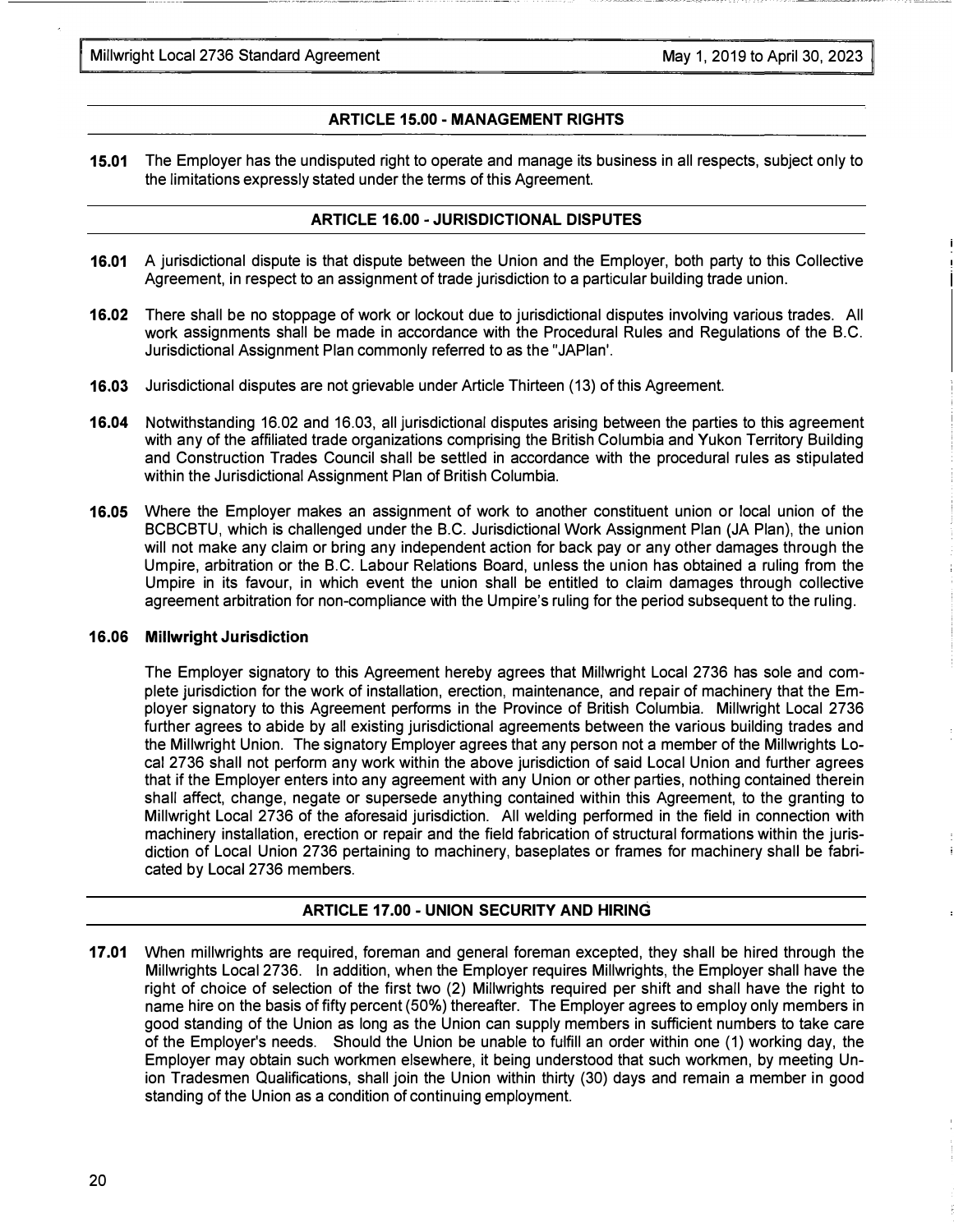#### ARTICLE 15.00- MANAGEMENT RIGHTS

15.01 The Employer has the undisputed right to operate and manage its business in all respects, subject only to the limitations expressly stated under the terms of this Agreement.

#### ARTICLE 16.00 - JURISDICTIONAL DISPUTES

- 16.01 A jurisdictional dispute is that dispute between the Union and the Employer, both party to this Collective Agreement, in respect to an assignment of trade jurisdiction to a particular building trade union.
- 16.02 There shall be no stoppage of work or lockout due to jurisdictional disputes involving various trades. All work assignments shall be made in accordance with the Procedural Rules and Regulations of the B.C. Jurisdictional Assignment Plan commonly referred to as the "JAPlan'.
- 16.03 Jurisdictional disputes are not grievable under Article Thirteen (13) of this Agreement.
- 16.04 Notwithstanding 16.02 and 16.03, all jurisdictional disputes arising between the parties to this agreement with any of the affiliated trade organizations comprising the British Columbia and Yukon Territory Building and Construction Trades Council shall be settled in accordance with the procedural rules as stipulated within the Jurisdictional Assignment Plan of British Columbia.
- 16.05 Where the Employer makes an assignment of work to another constituent union or local union of the BCBCBTU, which is challenged under the B.C. Jurisdictional Work Assignment Plan (JA Plan), the union will not make any claim or bring any independent action for back pay or any other damages through the Umpire, arbitration or the B.C. Labour Relations Board, unless the union has obtained a ruling from the Umpire in its favour, in which event the union shall be entitled to claim damages through collective agreement arbitration for non-compliance with the Umpire's ruling for the period subsequent to the ruling.

#### 16.06 Millwright Jurisdiction

The Employer signatory to this Agreement hereby agrees that Millwright Local 2736 has sole and complete jurisdiction for the work of installation, erection, maintenance, and repair of machinery that the Employer signatory to this Agreement performs in the Province of British Columbia. Millwright Local 2736 further agrees to abide by all existing jurisdictional agreements between the various building trades and the Millwright Union. The signatory Employer agrees that any person not a member of the Millwrights Local 2736 shall not perform any work within the above jurisdiction of said Local Union and further agrees that if the Employer enters into any agreement with any Union or other parties, nothing contained therein shall affect, change, negate or supersede anything contained within this Agreement, to the granting to Millwright Local 2736 of the aforesaid jurisdiction. All welding performed in the field in connection with machinery installation, erection or repair and the field fabrication of structural formations within the jurisdiction of Local Union 2736 pertaining to machinery, baseplates or frames for machinery shall be fabricated by Local 2736 members.

#### ARTICLE 17.00 - UNION SECURITY AND HIRING

17.01 When millwrights are required, foreman and general foreman excepted, they shall be hired through the Millwrights Local 2736. In addition, when the Employer requires Millwrights, the Employer shall have the right of choice of selection of the first two (2) Millwrights required per shift and shall have the right to name hire on the basis of fifty percent (50%) thereafter. The Employer agrees to employ only members in good standing of the Union as long as the Union can supply members in sufficient numbers to take care of the Employer's needs. Should the Union be unable to fulfill an order within one (1) working day, the Employer may obtain such workmen elsewhere, it being understood that such workmen, by meeting Union Tradesmen Qualifications, shall join the Union within thirty (30) days and remain a member in good standing of the Union as a condition of continuing employment.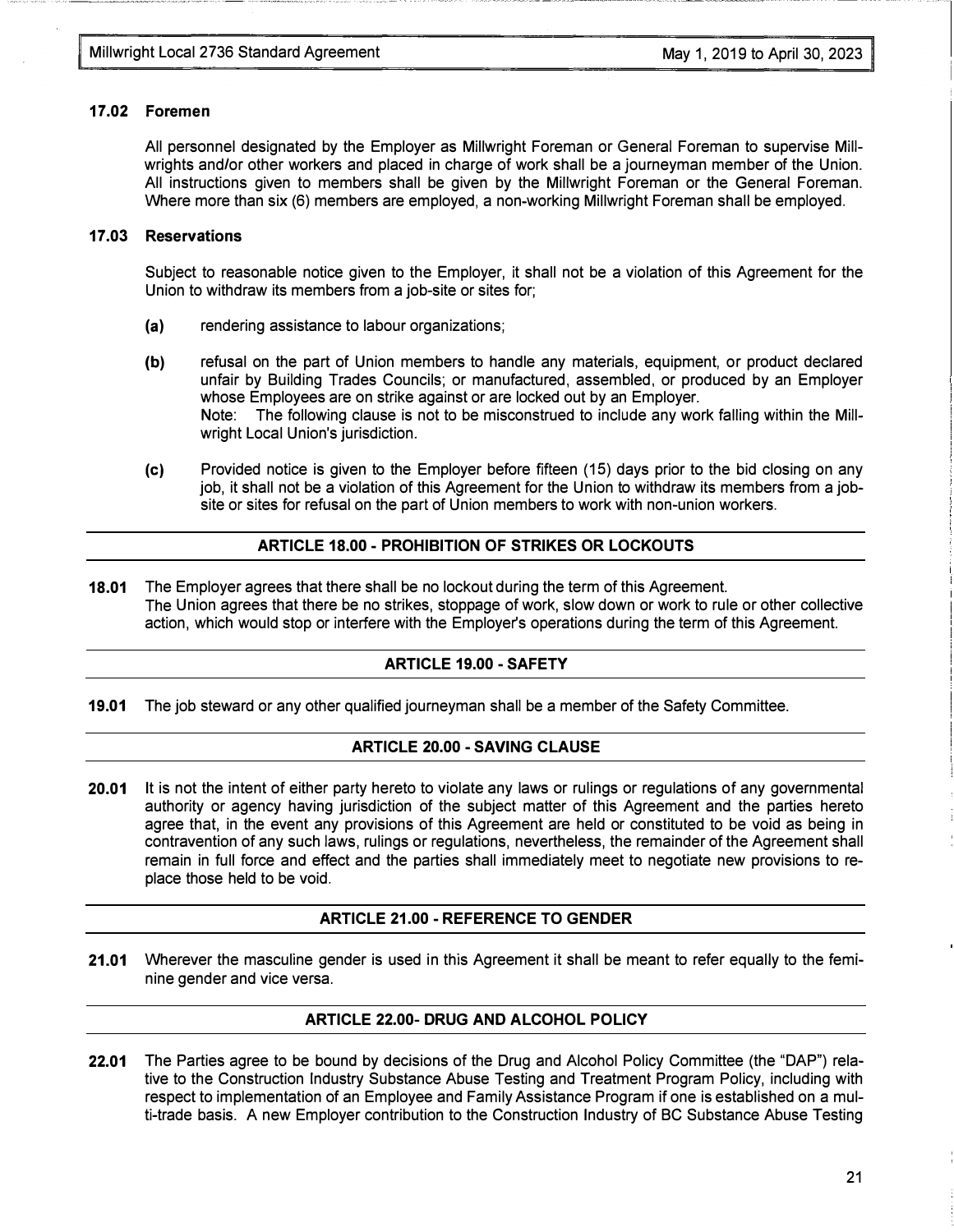#### 17.02 Foremen

All personnel designated by the Employer as Millwright Foreman or General Foreman to supervise Millwrights and/or other workers and placed in charge of work shall be a journeyman member of the Union. All instructions given to members shall be given by the Millwright Foreman or the General Foreman. Where more than six (6) members are employed, a non-working Millwright Foreman shall be employed.

#### 17 .03 Reservations

Subject to reasonable notice given to the Employer, it shall not be a violation of this Agreement for the Union to withdraw its members from a job-site or sites for;

- (a) rendering assistance to labour organizations;
- (b) refusal on the part of Union members to handle any materials, equipment, or product declared unfair by Building Trades Councils; or manufactured, assembled, or produced by an Employer whose Employees are on strike against or are locked out by an Employer. Note: The following clause is not to be misconstrued to include any work falling within the Millwright Local Union's jurisdiction.
- (c) Provided notice is given to the Employer before fifteen (15) days prior to the bid closing on any job, it shall not be a violation of this Agreement for the Union to withdraw its members from a jobsite or sites for refusal on the part of Union members to work with non-union workers.

#### ARTICLE 18.00- PROHIBITION OF STRIKES OR LOCKOUTS

18.01 The Employer agrees that there shall be no lockout during the term of this Agreement. The Union agrees that there be no strikes, stoppage of work, slow down or work to rule or other collective action, which would stop or interfere with the Employer's operations during the term of this Agreement.

#### ARTICLE 19.00 -SAFETY

19.01 The job steward or any other qualified journeyman shall be a member of the Safety Committee.

#### ARTICLE 20.00 -SAVING CLAUSE

20.01 It is not the intent of either party hereto to violate any laws or rulings or regulations of any governmental authority or agency having jurisdiction of the subject matter of this Agreement and the parties hereto agree that, in the event any provisions of this Agreement are held or constituted to be void as being in contravention of any such laws, rulings or regulations, nevertheless, the remainder of the Agreement shall remain in full force and effect and the parties shall immediately meet to negotiate new provisions to replace those held to be void.

#### ARTICLE 21.00 - REFERENCE TO GENDER

21.01 Wherever the masculine gender is used in this Agreement it shall be meant to refer equally to the feminine gender and vice versa.

#### ARTICLE 22.00- DRUG AND ALCOHOL POLICY

22.01 The Parties agree to be bound by decisions of the Drug and Alcohol Policy Committee (the "DAP") relative to the Construction Industry Substance Abuse Testing and Treatment Program Policy, including with respect to implementation of an Employee and Family Assistance Program if one is established on a multi-trade basis. A new Employer contribution to the Construction Industry of BC Substance Abuse Testing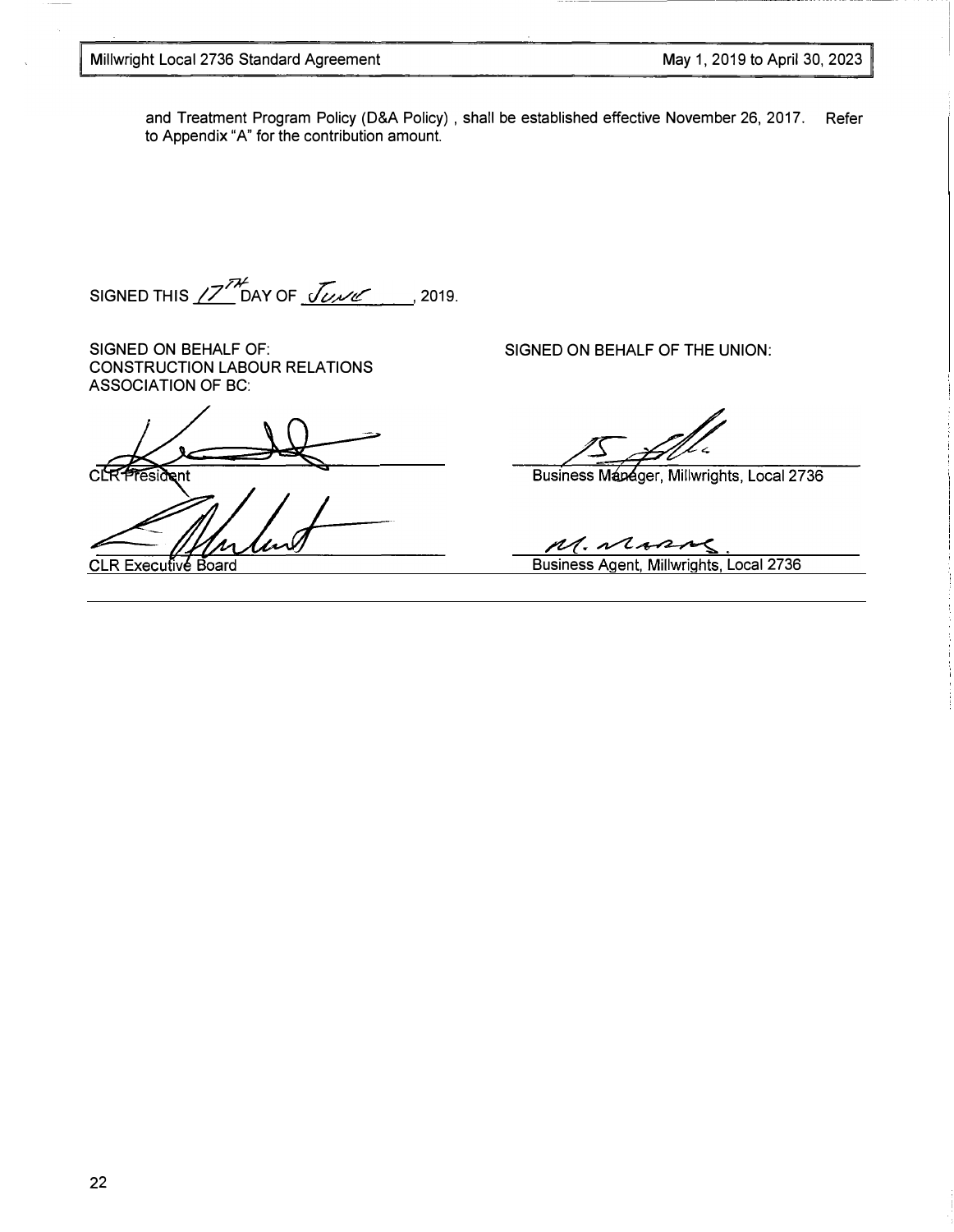and Treatment Program Policy (D&A Policy) , shall be established effective November 26, 2017. Refer to Appendix "A" for the contribution amount.

SIGNED THIS  $\cancel{Z}^{7k}$  DAY OF  $\sqrt{\mathcal{C}^{\mathcal{M}}\mathcal{C}}$  , 2019.

SIGNED ON BEHALF OF: CONSTRUCTION LABOUR RELATIONS ASSOCIATION OF BC:

**CLR President** 

**CLR Executive Board** 

SIGNED ON BEHALF OF THE UNION:

Business Manager, Millwrights, Local 2736

M. Marco Business Agent, Millwrights, Local 2736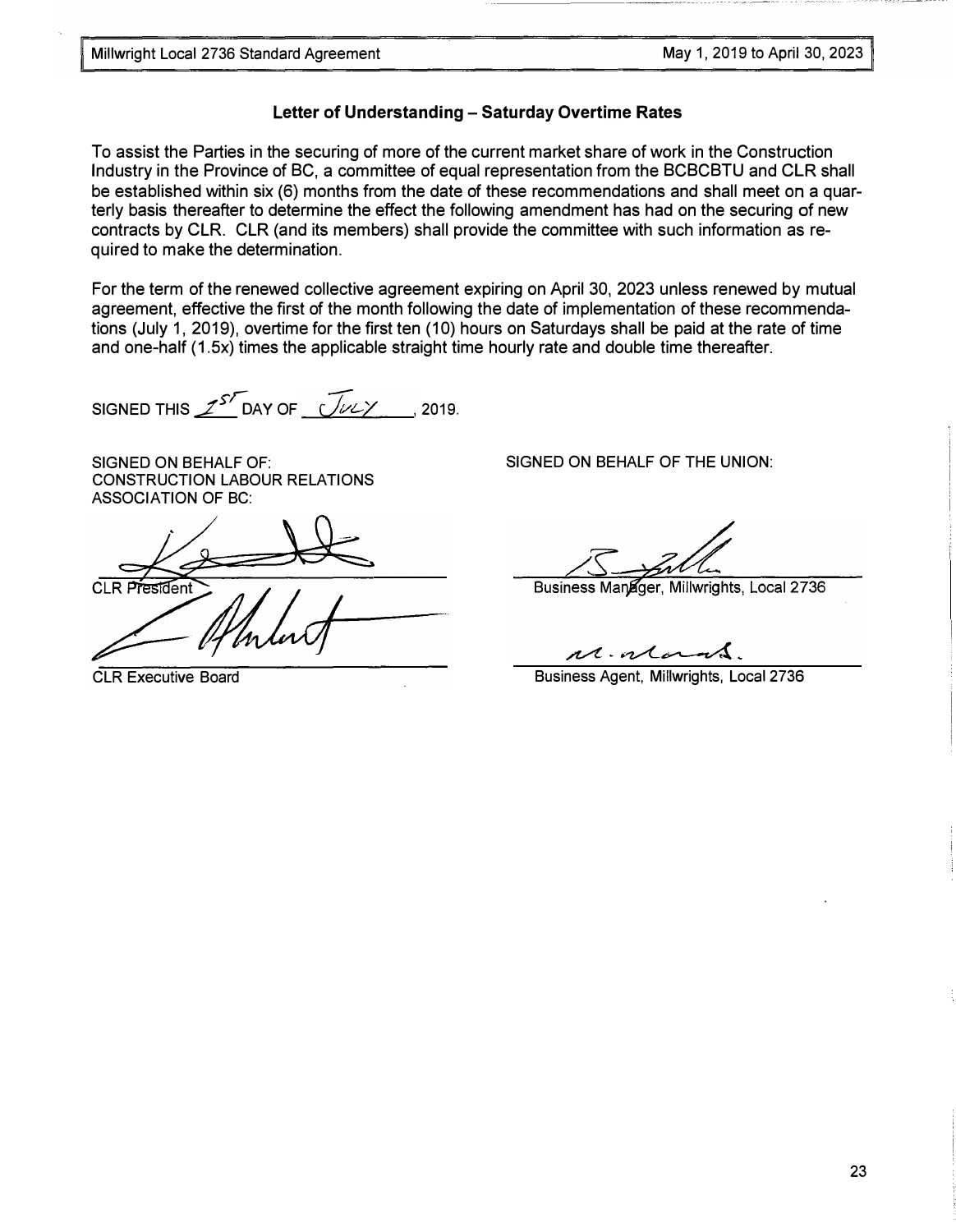# Letter of Understanding - Saturday Overtime Rates

To assist the Parties in the securing of more of the current market share of work in the Construction Industry in the Province of BC, a committee of equal representation from the BCBCBTU and CLR shall be established within six (6) months from the date of these recommendations and shall meet on a quarterly basis thereafter to determine the effect the following amendment has had on the securing of new contracts by CLR. CLR (and its members) shall provide the committee with such information as required to make the determination.

For the term of the renewed collective agreement expiring on April 30, 2023 unless renewed by mutual agreement, effective the first of the month following the date of implementation of these recommendations (July 1, 2019), overtime for the first ten (10) hours on Saturdays shall be paid at the rate of time and one-half (1.5x) times the applicable straight time hourly rate and double time thereafter.

SIGNED THIS  $\mathcal{I}^{S}$  DAY OF  $\sqrt{\mathcal{L} \mathcal{L}}$  , 2019.

SIGNED ON BEHALF OF: CONSTRUCTION LABOUR RELATIONS ASSOCIATION OF BC:

CLR Executive Board

SIGNED ON BEHALF OF THE UNION:

Business Manager, Millwrights, Local 2736

 $n\lambda$ .  $n\lambda$ 

Business Agent, Millwrights, Local 2736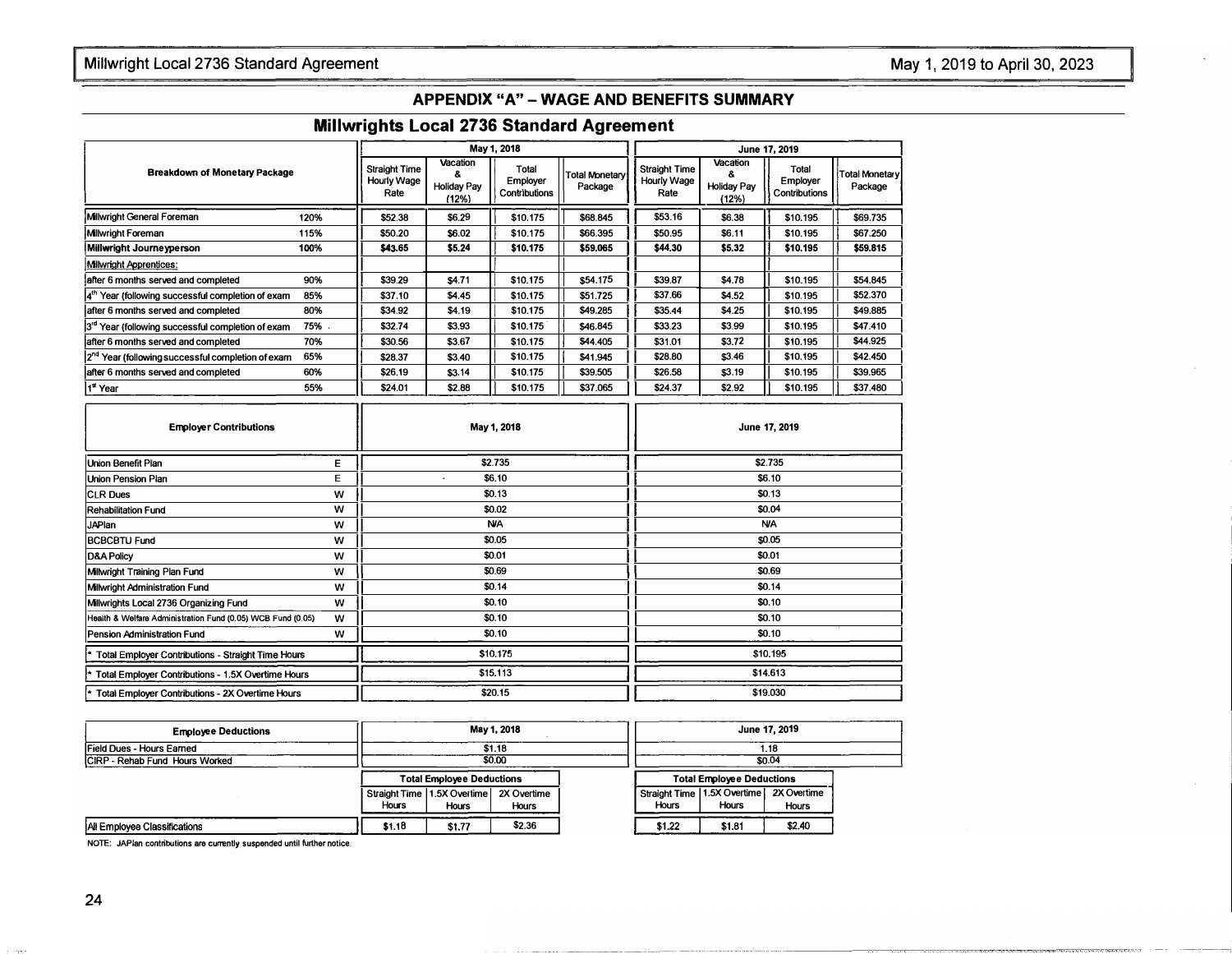## May 1, 2019 to April 30, 2023

## APPENDIX "A" - WAGE AND BENEFITS SUMMARY

## Millwrights Local 2736 Standard Agreement

|                                                               |      |                                                    |                                               | May 1, 2018                        |                           |                                             |                                              | June 17, 2019                      |                           |
|---------------------------------------------------------------|------|----------------------------------------------------|-----------------------------------------------|------------------------------------|---------------------------|---------------------------------------------|----------------------------------------------|------------------------------------|---------------------------|
| <b>Breakdown of Monetary Package</b>                          |      | <b>Straight Time</b><br><b>Hourly Wage</b><br>Rate | Vacation<br>8.<br><b>Holiday Pay</b><br>(12%) | Total<br>Employer<br>Contributions | Total Monetary<br>Package | <b>Straight Time</b><br>Hourly Wage<br>Rate | Vacation<br>ጼ<br><b>Holiday Pay</b><br>(12%) | Total<br>Employer<br>Contributions | Total Monetary<br>Package |
| Milwright General Foreman                                     | 120% | \$52.38                                            | \$6.29                                        | \$10.175                           | \$68.845                  | \$53.16                                     | \$6.38                                       | \$10.195                           | \$69,735                  |
| <b>Milwright Foreman</b>                                      | 115% | \$50.20                                            | \$6.02                                        | \$10.175                           | \$66.395                  | \$50.95                                     | \$6.11                                       | \$10.195                           | \$67.250                  |
| Millwright Journeyperson                                      | 100% | \$43.65                                            | \$5.24                                        | \$10.175                           | \$59,065                  | \$44,30                                     | \$5,32                                       | \$10,195                           | \$59,815                  |
| Milwright Apprentices:                                        |      |                                                    |                                               |                                    |                           |                                             |                                              |                                    |                           |
| after 6 months served and completed                           | 90%  | \$39.29                                            | \$4.71                                        | \$10.175                           | \$54.175                  | \$39.87                                     | \$4.78                                       | \$10.195                           | \$54.845                  |
| 4 <sup>th</sup> Year (following successful completion of exam | 85%  | \$37.10                                            | \$4.45                                        | \$10.175                           | \$51.725                  | \$37.66                                     | \$4.52                                       | \$10.195                           | \$52,370                  |
| after 6 months served and completed                           | 80%  | \$34.92                                            | \$4.19                                        | \$10.175                           | \$49.285                  | \$35.44                                     | \$4.25                                       | \$10.195                           | \$49,885                  |
| 3rd Year (following successful completion of exam             | 75%  | \$32.74                                            | \$3.93                                        | \$10.175                           | \$46.845                  | \$33.23                                     | \$3.99                                       | \$10.195                           | \$47.410                  |
| after 6 months served and completed                           | 70%  | \$30.56                                            | \$3.67                                        | \$10.175                           | \$44,405                  | \$31.01                                     | \$3.72                                       | \$10.195                           | \$44.925                  |
| 2 <sup>nd</sup> Year (following successful completion of exam | 65%  | \$28.37                                            | \$3.40                                        | \$10.175                           | \$41.945                  | \$28.80                                     | \$3.46                                       | \$10.195                           | \$42,450                  |
| after 6 months served and completed                           | 60%  | \$26.19                                            | \$3.14                                        | \$10.175                           | \$39,505                  | \$26.58                                     | \$3.19                                       | \$10.195                           | \$39.965                  |
| 1 <sup>st</sup> Year                                          | 55%  | \$24.01                                            | \$2.88                                        | \$10.175                           | \$37.065                  | \$24.37                                     | \$2.92                                       | \$10.195                           | \$37.480                  |

| <b>Employer Contributions</b>                               |   | May 1, 2018 | June 17, 2019 |
|-------------------------------------------------------------|---|-------------|---------------|
| <b>Union Benefit Plan</b>                                   | Е | \$2.735     | \$2.735       |
| Union Pension Plan                                          | Ε | \$6.10      | \$6.10        |
| <b>CLR Dues</b>                                             | w | \$0.13      | \$0.13        |
| <b>Rehabilitation Fund</b>                                  | w | \$0.02      | \$0.04        |
| <b>JAPlan</b>                                               | w | <b>N/A</b>  | <b>N/A</b>    |
| <b>BCBCBTU Fund</b>                                         | w | \$0.05      | \$0.05        |
| <b>D&amp;A Policy</b>                                       | w | \$0.01      | \$0.01        |
| Milwright Training Plan Fund                                | w | \$0.69      | \$0.69        |
| Milwright Administration Fund                               | W | \$0.14      | \$0.14        |
| Millwrights Local 2736 Organizing Fund                      | w | \$0.10      | \$0.10        |
| Health & Welfare Administration Fund (0.05) WCB Fund (0.05) | w | \$0.10      | \$0.10        |
| Pension Administration Fund                                 | w | \$0.10      | \$0.10        |
| Total Employer Contributions - Straight Time Hours<br>ŀ.    |   | \$10.175    | \$10,195      |
| * Total Employer Contributions - 1.5X Overtime Hours        |   | \$15.113    | \$14.613      |
| Total Employer Contributions - 2X Overtime Hours<br>ŀ۰      |   | \$20.15     | \$19,030      |

| <b>Employee Deductions</b>     |        | May 1, 2018<br>\$1.18                   |              |  | June 17, 2019<br>1.18            |                              |              |  |
|--------------------------------|--------|-----------------------------------------|--------------|--|----------------------------------|------------------------------|--------------|--|
| Field Dues - Hours Earned      |        |                                         |              |  |                                  |                              |              |  |
| CIRP - Rehab Fund Hours Worked |        | \$0.00                                  |              |  | \$0.04                           |                              |              |  |
|                                |        | <b>Total Employee Deductions</b>        |              |  | <b>Total Employee Deductions</b> |                              |              |  |
|                                |        | Straight Time 1.5X Overtime 2X Overtime |              |  |                                  | Straight Time 11.5X Overtime | 2X Overtime  |  |
|                                | Hours  | <b>Hours</b>                            | <b>Hours</b> |  | Hours                            | Hours                        | <b>Hours</b> |  |
| All Employee Classifications   | \$1.18 | \$1.77                                  | \$2.36       |  | \$1.22                           | \$1.81                       | \$2.40       |  |

NOTE: JAPlan contributions are currently suspended until further notice.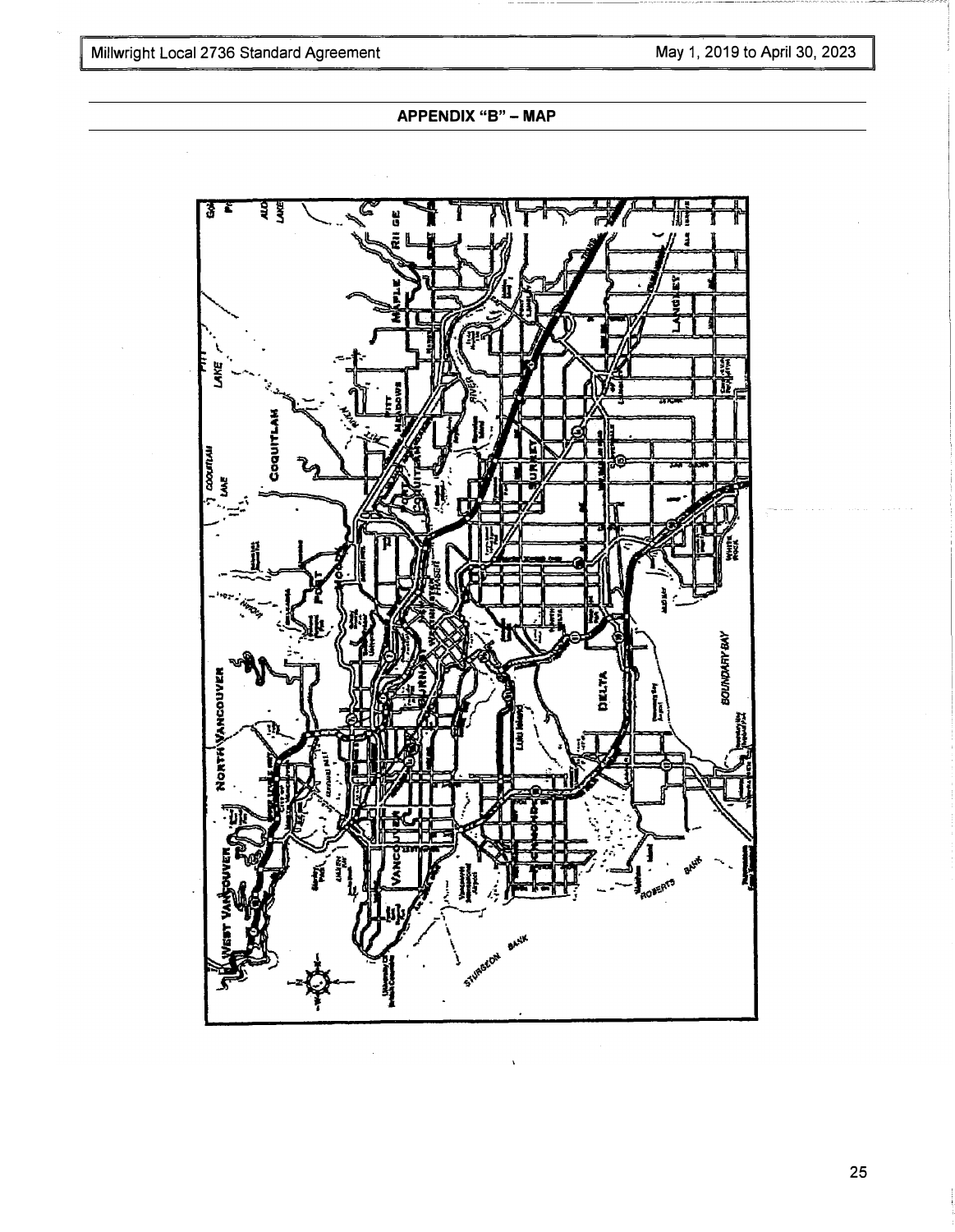APPENDIX "B" - MAP



25